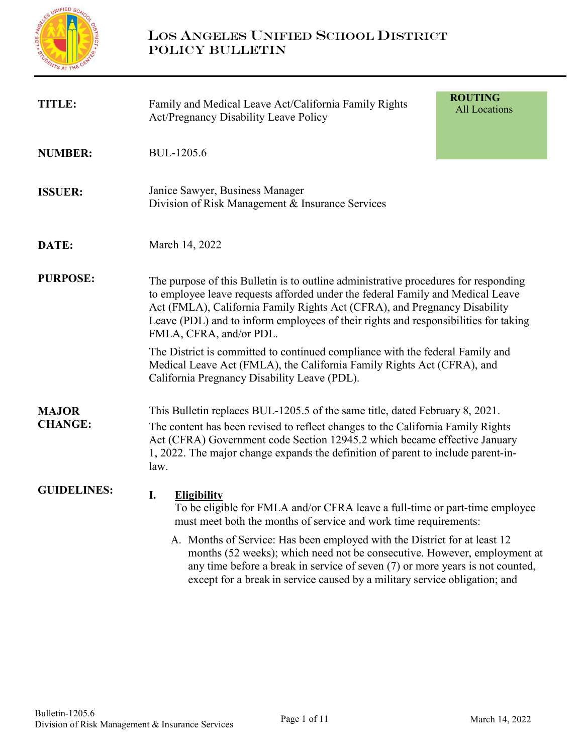

| <b>TITLE:</b>                  | Family and Medical Leave Act/California Family Rights<br><b>Act/Pregnancy Disability Leave Policy</b>                                                                                                                                                                                                                                                                | <b>ROUTING</b><br><b>All Locations</b> |
|--------------------------------|----------------------------------------------------------------------------------------------------------------------------------------------------------------------------------------------------------------------------------------------------------------------------------------------------------------------------------------------------------------------|----------------------------------------|
| <b>NUMBER:</b>                 | BUL-1205.6                                                                                                                                                                                                                                                                                                                                                           |                                        |
| <b>ISSUER:</b>                 | Janice Sawyer, Business Manager<br>Division of Risk Management & Insurance Services                                                                                                                                                                                                                                                                                  |                                        |
| DATE:                          | March 14, 2022                                                                                                                                                                                                                                                                                                                                                       |                                        |
| <b>PURPOSE:</b>                | The purpose of this Bulletin is to outline administrative procedures for responding<br>to employee leave requests afforded under the federal Family and Medical Leave<br>Act (FMLA), California Family Rights Act (CFRA), and Pregnancy Disability<br>Leave (PDL) and to inform employees of their rights and responsibilities for taking<br>FMLA, CFRA, and/or PDL. |                                        |
|                                | The District is committed to continued compliance with the federal Family and<br>Medical Leave Act (FMLA), the California Family Rights Act (CFRA), and<br>California Pregnancy Disability Leave (PDL).                                                                                                                                                              |                                        |
| <b>MAJOR</b><br><b>CHANGE:</b> | This Bulletin replaces BUL-1205.5 of the same title, dated February 8, 2021.<br>The content has been revised to reflect changes to the California Family Rights<br>Act (CFRA) Government code Section 12945.2 which became effective January<br>1, 2022. The major change expands the definition of parent to include parent-in-<br>law.                             |                                        |
| <b>GUIDELINES:</b>             | I.<br><b>Eligibility</b><br>To be eligible for FMLA and/or CFRA leave a full-time or part-time employee<br>must meet both the months of service and work time requirements:                                                                                                                                                                                          |                                        |
|                                | A. Months of Service: Has been employed with the District for at least 12<br>months (52 weeks); which need not be consecutive. However, employment at<br>any time before a break in service of seven (7) or more years is not counted,<br>except for a break in service caused by a military service obligation; and                                                 |                                        |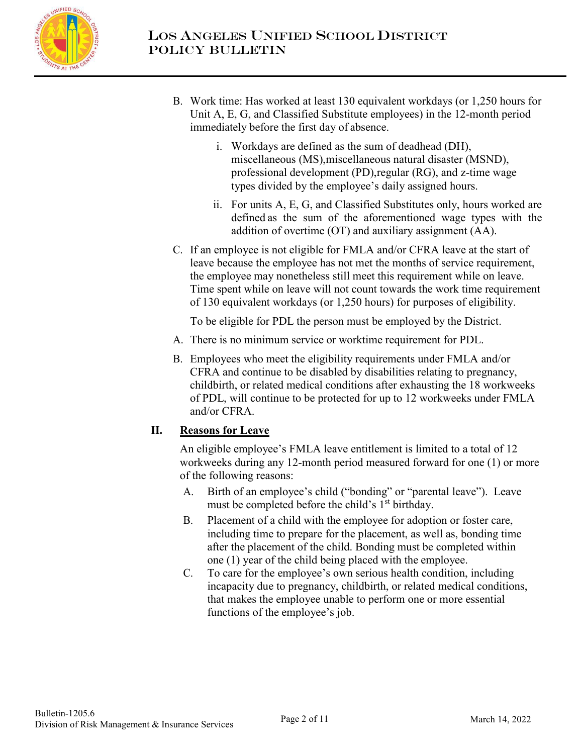

- B. Work time: Has worked at least 130 equivalent workdays (or 1,250 hours for Unit A, E, G, and Classified Substitute employees) in the 12-month period immediately before the first day of absence.
	- i. Workdays are defined as the sum of deadhead (DH), miscellaneous (MS),miscellaneous natural disaster (MSND), professional development (PD), regular (RG), and z-time wage types divided by the employee's daily assigned hours.
	- ii. For units A, E, G, and Classified Substitutes only, hours worked are defined as the sum of the aforementioned wage types with the addition of overtime (OT) and auxiliary assignment (AA).
- C. If an employee is not eligible for FMLA and/or CFRA leave at the start of leave because the employee has not met the months of service requirement, the employee may nonetheless still meet this requirement while on leave. Time spent while on leave will not count towards the work time requirement of 130 equivalent workdays (or 1,250 hours) for purposes of eligibility.

To be eligible for PDL the person must be employed by the District.

- A. There is no minimum service or worktime requirement for PDL.
- B. Employees who meet the eligibility requirements under FMLA and/or CFRA and continue to be disabled by disabilities relating to pregnancy, childbirth, or related medical conditions after exhausting the 18 workweeks of PDL, will continue to be protected for up to 12 workweeks under FMLA and/or CFRA.

### **II. Reasons for Leave**

An eligible employee's FMLA leave entitlement is limited to a total of 12 workweeks during any 12-month period measured forward for one (1) or more of the following reasons:

- A. Birth of an employee's child ("bonding" or "parental leave"). Leave must be completed before the child's  $1<sup>st</sup>$  birthday.
- B. Placement of a child with the employee for adoption or foster care, including time to prepare for the placement, as well as, bonding time after the placement of the child. Bonding must be completed within one (1) year of the child being placed with the employee.
- C. To care for the employee's own serious health condition, including incapacity due to pregnancy, childbirth, or related medical conditions, that makes the employee unable to perform one or more essential functions of the employee's job.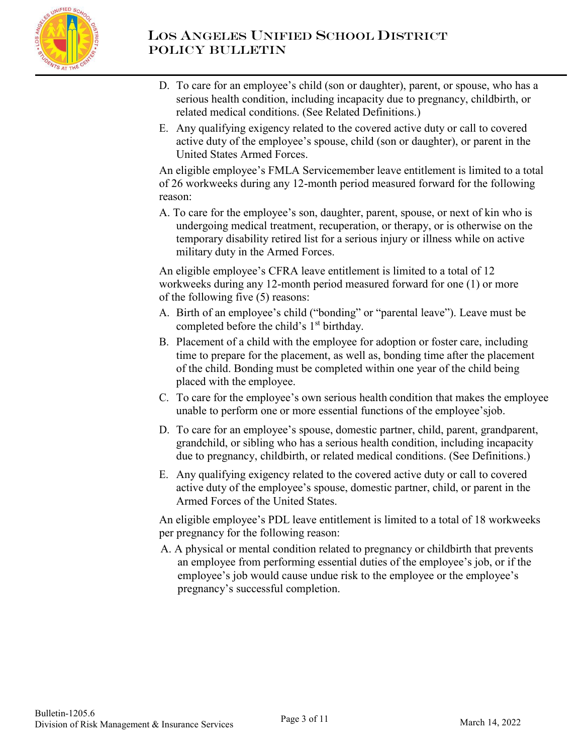

- D. To care for an employee's child (son or daughter), parent, or spouse, who has a serious health condition, including incapacity due to pregnancy, childbirth, or related medical conditions. (See Related Definitions.)
- E. Any qualifying exigency related to the covered active duty or call to covered active duty of the employee's spouse, child (son or daughter), or parent in the United States Armed Forces.

An eligible employee's FMLA Servicemember leave entitlement is limited to a total of 26 workweeks during any 12-month period measured forward for the following reason:

A. To care for the employee's son, daughter, parent, spouse, or next of kin who is undergoing medical treatment, recuperation, or therapy, or is otherwise on the temporary disability retired list for a serious injury or illness while on active military duty in the Armed Forces.

An eligible employee's CFRA leave entitlement is limited to a total of 12 workweeks during any 12-month period measured forward for one (1) or more of the following five (5) reasons:

- A. Birth of an employee's child ("bonding" or "parental leave"). Leave must be completed before the child's 1<sup>st</sup> birthday.
- B. Placement of a child with the employee for adoption or foster care, including time to prepare for the placement, as well as, bonding time after the placement of the child. Bonding must be completed within one year of the child being placed with the employee.
- C. To care for the employee's own serious health condition that makes the employee unable to perform one or more essential functions of the employee's job.
- D. To care for an employee's spouse, domestic partner, child, parent, grandparent, grandchild, or sibling who has a serious health condition, including incapacity due to pregnancy, childbirth, or related medical conditions. (See Definitions.)
- E. Any qualifying exigency related to the covered active duty or call to covered active duty of the employee's spouse, domestic partner, child, or parent in the Armed Forces of the United States.

An eligible employee's PDL leave entitlement is limited to a total of 18 workweeks per pregnancy for the following reason:

A. A physical or mental condition related to pregnancy or childbirth that prevents an employee from performing essential duties of the employee's job, or if the employee's job would cause undue risk to the employee or the employee's pregnancy's successful completion.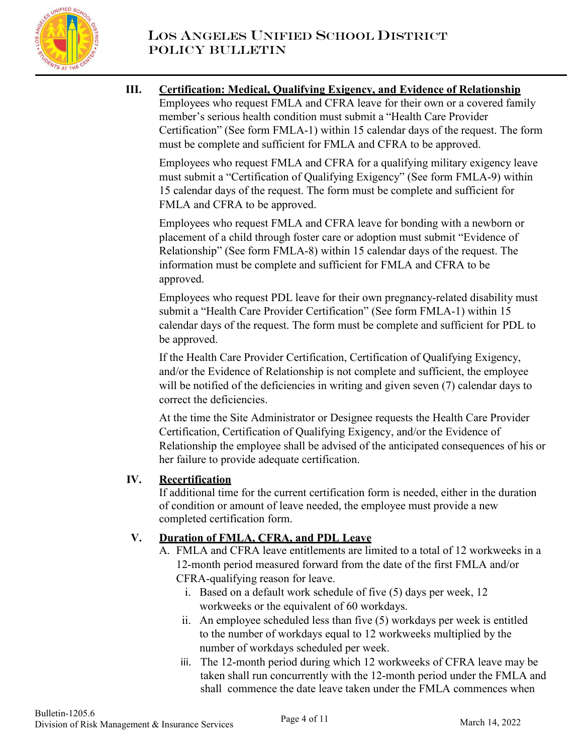

### **III. Certification: Medical, Qualifying Exigency, and Evidence of Relationship** Employees who request FMLA and CFRA leave for their own or a covered family member's serious health condition must submit a "Health Care Provider

Certification" (See form FMLA-1) within 15 calendar days of the request. The form must be complete and sufficient for FMLA and CFRA to be approved.

Employees who request FMLA and CFRA for a qualifying military exigency leave must submit a "Certification of Qualifying Exigency" (See form FMLA-9) within 15 calendar days of the request. The form must be complete and sufficient for FMLA and CFRA to be approved.

Employees who request FMLA and CFRA leave for bonding with a newborn or placement of a child through foster care or adoption must submit "Evidence of Relationship" (See form FMLA-8) within 15 calendar days of the request. The information must be complete and sufficient for FMLA and CFRA to be approved.

Employees who request PDL leave for their own pregnancy-related disability must submit a "Health Care Provider Certification" (See form FMLA-1) within 15 calendar days of the request. The form must be complete and sufficient for PDL to be approved.

If the Health Care Provider Certification, Certification of Qualifying Exigency, and/or the Evidence of Relationship is not complete and sufficient, the employee will be notified of the deficiencies in writing and given seven (7) calendar days to correct the deficiencies.

At the time the Site Administrator or Designee requests the Health Care Provider Certification, Certification of Qualifying Exigency, and/or the Evidence of Relationship the employee shall be advised of the anticipated consequences of his or her failure to provide adequate certification.

# **IV. Recertification**

If additional time for the current certification form is needed, either in the duration of condition or amount of leave needed, the employee must provide a new completed certification form.

# **V. Duration of FMLA, CFRA, and PDL Leave**

- A. FMLA and CFRA leave entitlements are limited to a total of 12 workweeks in a 12-month period measured forward from the date of the first FMLA and/or CFRA-qualifying reason for leave.
	- i. Based on a default work schedule of five (5) days per week, 12 workweeks or the equivalent of 60 workdays.
	- ii. An employee scheduled less than five (5) workdays per week is entitled to the number of workdays equal to 12 workweeks multiplied by the number of workdays scheduled per week.
	- iii. The 12-month period during which 12 workweeks of CFRA leave may be taken shall run concurrently with the 12-month period under the FMLA and shall commence the date leave taken under the FMLA commences when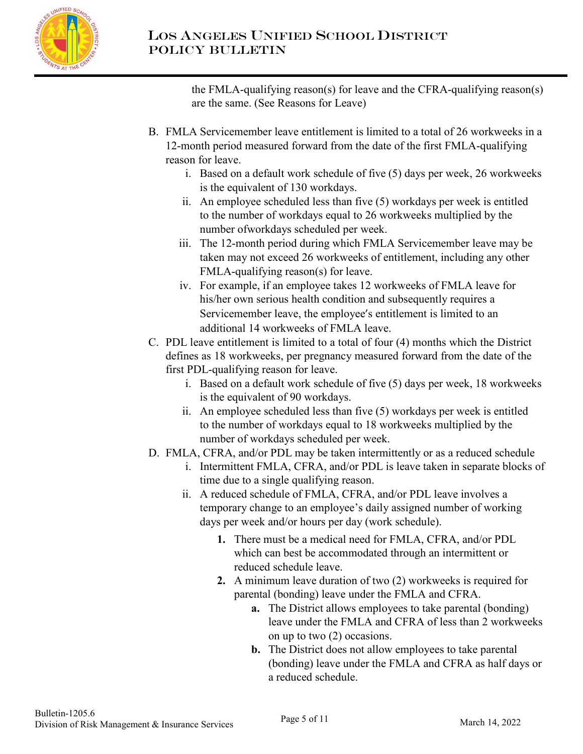

the FMLA-qualifying reason(s) for leave and the CFRA-qualifying reason(s) are the same. (See Reasons for Leave)

- B. FMLA Servicemember leave entitlement is limited to a total of 26 workweeks in a 12-month period measured forward from the date of the first FMLA-qualifying reason for leave.
	- i. Based on a default work schedule of five (5) days per week, 26 workweeks is the equivalent of 130 workdays.
	- ii. An employee scheduled less than five (5) workdays per week is entitled to the number of workdays equal to 26 workweeks multiplied by the number of workdays scheduled per week.
	- iii. The 12-month period during which FMLA Servicemember leave may be taken may not exceed 26 workweeks of entitlement, including any other FMLA-qualifying reason(s) for leave.
	- iv. For example, if an employee takes 12 workweeks of FMLA leave for his/her own serious health condition and subsequently requires a Servicemember leave, the employee's entitlement is limited to an additional 14 workweeks of FMLA leave.
- C. PDL leave entitlement is limited to a total of four (4) months which the District defines as 18 workweeks, per pregnancy measured forward from the date of the first PDL-qualifying reason for leave.
	- i. Based on a default work schedule of five (5) days per week, 18 workweeks is the equivalent of 90 workdays.
	- ii. An employee scheduled less than five (5) workdays per week is entitled to the number of workdays equal to 18 workweeks multiplied by the number of workdays scheduled per week.
- D. FMLA, CFRA, and/or PDL may be taken intermittently or as a reduced schedule
	- i. Intermittent FMLA, CFRA, and/or PDL is leave taken in separate blocks of time due to a single qualifying reason.
		- ii. A reduced schedule of FMLA, CFRA, and/or PDL leave involves a temporary change to an employee's daily assigned number of working days per week and/or hours per day (work schedule).
			- **1.** There must be a medical need for FMLA, CFRA, and/or PDL which can best be accommodated through an intermittent or reduced schedule leave.
			- **2.** A minimum leave duration of two (2) workweeks is required for parental (bonding) leave under the FMLA and CFRA.
				- **a.** The District allows employees to take parental (bonding) leave under the FMLA and CFRA of less than 2 workweeks on up to two (2) occasions.
				- **b.** The District does not allow employees to take parental (bonding) leave under the FMLA and CFRA as half days or a reduced schedule.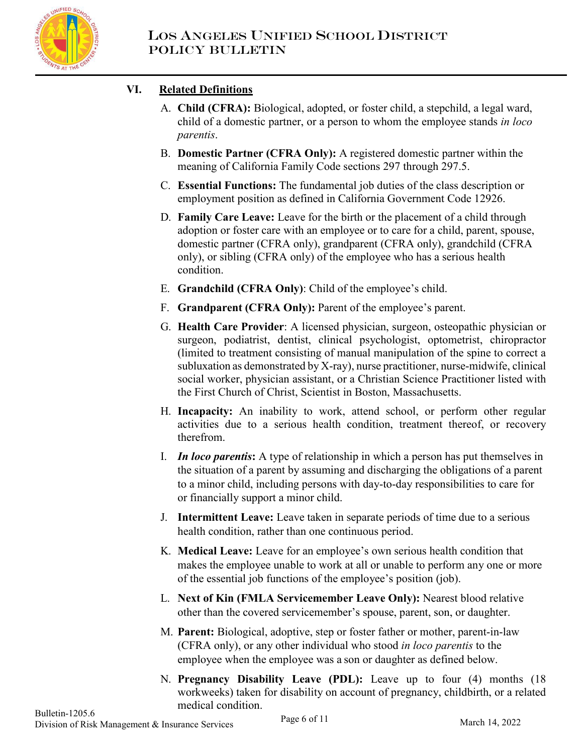

# **VI. Related Definitions**

- A. **Child (CFRA):** Biological, adopted, or foster child, a stepchild, a legal ward, child of a domestic partner, or a person to whom the employee stands *in loco parentis*.
- B. **Domestic Partner (CFRA Only):** A registered domestic partner within the meaning of California Family Code sections 297 through 297.5.
- C. **Essential Functions:** The fundamental job duties of the class description or employment position as defined in California Government Code 12926.
- D. **Family Care Leave:** Leave for the birth or the placement of a child through adoption or foster care with an employee or to care for a child, parent, spouse, domestic partner (CFRA only), grandparent (CFRA only), grandchild (CFRA only), or sibling (CFRA only) of the employee who has a serious health condition.
- E. **Grandchild (CFRA Only)**: Child of the employee's child.
- F. **Grandparent (CFRA Only):** Parent of the employee's parent.
- G. **Health Care Provider**: A licensed physician, surgeon, osteopathic physician or surgeon, podiatrist, dentist, clinical psychologist, optometrist, chiropractor (limited to treatment consisting of manual manipulation of the spine to correct a subluxation as demonstrated by X-ray), nurse practitioner, nurse-midwife, clinical social worker, physician assistant, or a Christian Science Practitioner listed with the First Church of Christ, Scientist in Boston, Massachusetts.
- H. **Incapacity:** An inability to work, attend school, or perform other regular activities due to a serious health condition, treatment thereof, or recovery therefrom.
- I. *In loco parentis***:** A type of relationship in which a person has put themselves in the situation of a parent by assuming and discharging the obligations of a parent to a minor child, including persons with day-to-day responsibilities to care for or financially support a minor child.
- J. **Intermittent Leave:** Leave taken in separate periods of time due to a serious health condition, rather than one continuous period.
- K. **Medical Leave:** Leave for an employee's own serious health condition that makes the employee unable to work at all or unable to perform any one or more of the essential job functions of the employee's position (job).
- L. **Next of Kin (FMLA Servicemember Leave Only):** Nearest blood relative other than the covered servicemember's spouse, parent, son, or daughter.
- M. **Parent:** Biological, adoptive, step or foster father or mother, parent-in-law (CFRA only), or any other individual who stood *in loco parentis* to the employee when the employee was a son or daughter as defined below.
- N. **Pregnancy Disability Leave (PDL):** Leave up to four (4) months (18 workweeks) taken for disability on account of pregnancy, childbirth, or a related medical condition.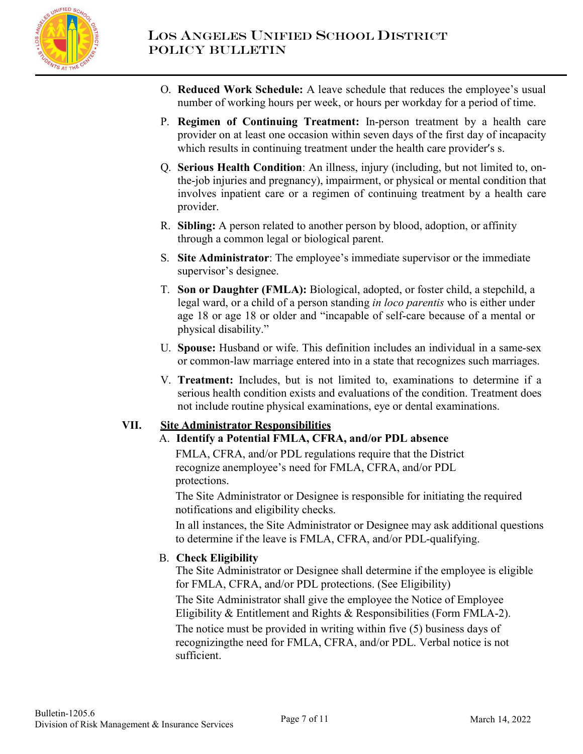

- O. **Reduced Work Schedule:** A leave schedule that reduces the employee's usual number of working hours per week, or hours per workday for a period of time.
- P. **Regimen of Continuing Treatment:** In-person treatment by a health care provider on at least one occasion within seven days of the first day of incapacity which results in continuing treatment under the health care provider's s.
- Q. **Serious Health Condition**: An illness, injury (including, but not limited to, onthe-job injuries and pregnancy), impairment, or physical or mental condition that involves inpatient care or a regimen of continuing treatment by a health care provider.
- R. **Sibling:** A person related to another person by blood, adoption, or affinity through a common legal or biological parent.
- S. **Site Administrator**: The employee's immediate supervisor or the immediate supervisor's designee.
- T. **Son or Daughter (FMLA):** Biological, adopted, or foster child, a stepchild, a legal ward, or a child of a person standing *in loco parentis* who is either under age 18 or age 18 or older and "incapable of self-care because of a mental or physical disability."
- U. **Spouse:** Husband or wife. This definition includes an individual in a same-sex or common-law marriage entered into in a state that recognizes such marriages.
- V. **Treatment:** Includes, but is not limited to, examinations to determine if a serious health condition exists and evaluations of the condition. Treatment does not include routine physical examinations, eye or dental examinations.

### **VII. Site Administrator Responsibilities**

### A. **Identify a Potential FMLA, CFRA, and/or PDL absence**

FMLA, CFRA, and/or PDL regulations require that the District recognize anemployee's need for FMLA, CFRA, and/or PDL protections.

The Site Administrator or Designee is responsible for initiating the required notifications and eligibility checks.

In all instances, the Site Administrator or Designee may ask additional questions to determine if the leave is FMLA, CFRA, and/or PDL-qualifying.

### B. **Check Eligibility**

The Site Administrator or Designee shall determine if the employee is eligible for FMLA, CFRA, and/or PDL protections. (See Eligibility)

The Site Administrator shall give the employee the Notice of Employee Eligibility & Entitlement and Rights & Responsibilities (Form FMLA-2).

The notice must be provided in writing within five (5) business days of recognizing the need for FMLA, CFRA, and/or PDL. Verbal notice is not sufficient.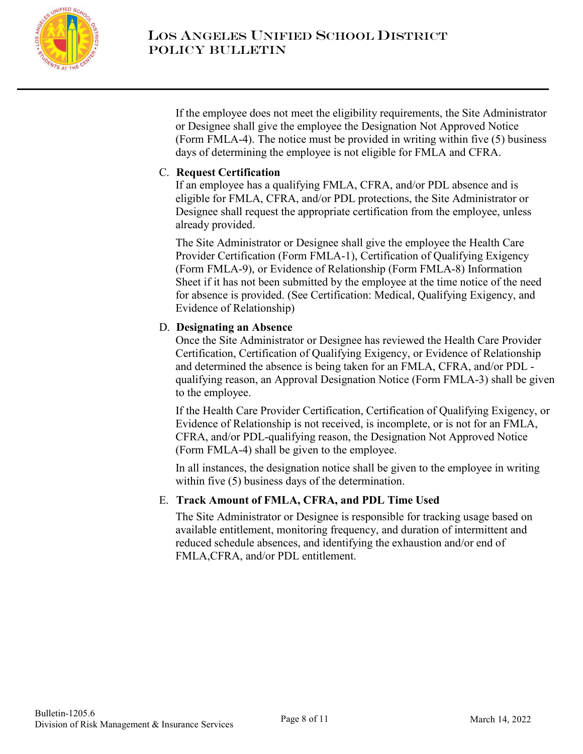

If the employee does not meet the eligibility requirements, the Site Administrator or Designee shall give the employee the Designation Not Approved Notice (Form FMLA-4). The notice must be provided in writing within five (5) business days of determining the employee is not eligible for FMLA and CFRA.

### C. **Request Certification**

If an employee has a qualifying FMLA, CFRA, and/or PDL absence and is eligible for FMLA, CFRA, and/or PDL protections, the Site Administrator or Designee shall request the appropriate certification from the employee, unless already provided.

The Site Administrator or Designee shall give the employee the Health Care Provider Certification (Form FMLA-1), Certification of Qualifying Exigency (Form FMLA-9), or Evidence of Relationship (Form FMLA-8) Information Sheet if it has not been submitted by the employee at the time notice of the need for absence is provided. (See Certification: Medical, Qualifying Exigency, and Evidence of Relationship)

### D. **Designating an Absence**

Once the Site Administrator or Designee has reviewed the Health Care Provider Certification, Certification of Qualifying Exigency, or Evidence of Relationship and determined the absence is being taken for an FMLA, CFRA, and/or PDL qualifying reason, an Approval Designation Notice (Form FMLA-3) shall be given to the employee.

If the Health Care Provider Certification, Certification of Qualifying Exigency, or Evidence of Relationship is not received, is incomplete, or is not for an FMLA, CFRA, and/or PDL-qualifying reason, the Designation Not Approved Notice (Form FMLA-4) shall be given to the employee.

In all instances, the designation notice shall be given to the employee in writing within five (5) business days of the determination.

### E. **Track Amount of FMLA, CFRA, and PDL Time Used**

The Site Administrator or Designee is responsible for tracking usage based on available entitlement, monitoring frequency, and duration of intermittent and reduced schedule absences, and identifying the exhaustion and/or end of FMLA,CFRA, and/or PDL entitlement.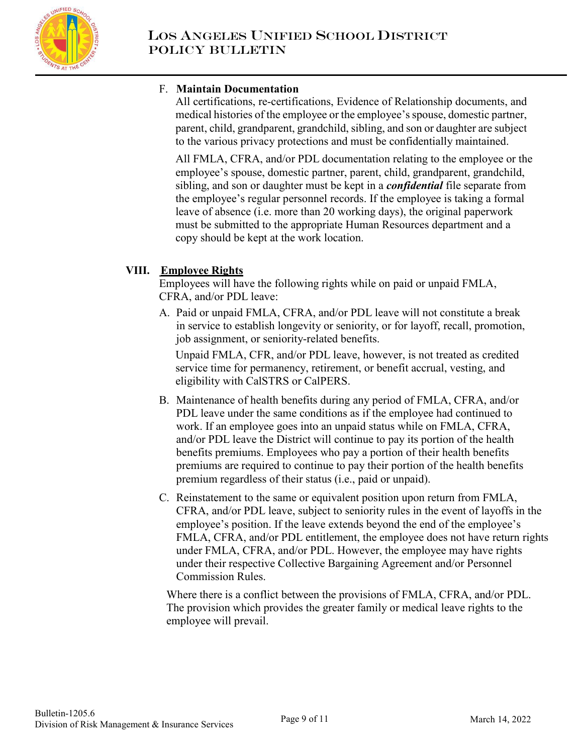

### F. **Maintain Documentation**

All certifications, re-certifications, Evidence of Relationship documents, and medical histories of the employee or the employee's spouse, domestic partner, parent, child, grandparent, grandchild, sibling, and son or daughter are subject to the various privacy protections and must be confidentially maintained.

All FMLA, CFRA, and/or PDL documentation relating to the employee or the employee's spouse, domestic partner, parent, child, grandparent, grandchild, sibling, and son or daughter must be kept in a *confidential* file separate from the employee's regular personnel records. If the employee is taking a formal leave of absence (i.e. more than 20 working days), the original paperwork must be submitted to the appropriate Human Resources department and a copy should be kept at the work location.

## **VIII. Employee Rights**

Employees will have the following rights while on paid or unpaid FMLA, CFRA, and/or PDL leave:

A. Paid or unpaid FMLA, CFRA, and/or PDL leave will not constitute a break in service to establish longevity or seniority, or for layoff, recall, promotion, job assignment, or seniority-related benefits.

Unpaid FMLA, CFR, and/or PDL leave, however, is not treated as credited service time for permanency, retirement, or benefit accrual, vesting, and eligibility with CalSTRS or CalPERS.

- B. Maintenance of health benefits during any period of FMLA, CFRA, and/or PDL leave under the same conditions as if the employee had continued to work. If an employee goes into an unpaid status while on FMLA, CFRA, and/or PDL leave the District will continue to pay its portion of the health benefits premiums. Employees who pay a portion of their health benefits premiums are required to continue to pay their portion of the health benefits premium regardless of their status (i.e., paid or unpaid).
- C. Reinstatement to the same or equivalent position upon return from FMLA, CFRA, and/or PDL leave, subject to seniority rules in the event of layoffs in the employee's position. If the leave extends beyond the end of the employee's FMLA, CFRA, and/or PDL entitlement, the employee does not have return rights under FMLA, CFRA, and/or PDL. However, the employee may have rights under their respective Collective Bargaining Agreement and/or Personnel Commission Rules.

Where there is a conflict between the provisions of FMLA, CFRA, and/or PDL. The provision which provides the greater family or medical leave rights to the employee will prevail.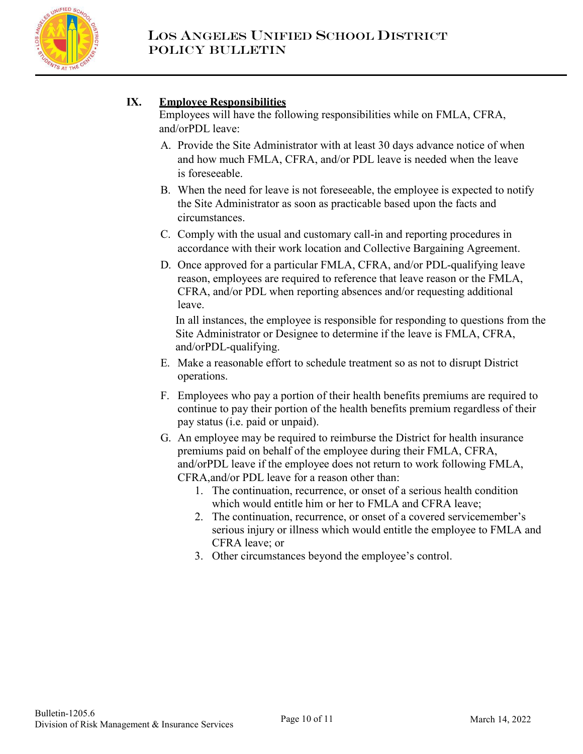

## **IX. Employee Responsibilities**

Employees will have the following responsibilities while on FMLA, CFRA, and/or PDL leave:

- A. Provide the Site Administrator with at least 30 days advance notice of when and how much FMLA, CFRA, and/or PDL leave is needed when the leave is foreseeable.
- B. When the need for leave is not foreseeable, the employee is expected to notify the Site Administrator as soon as practicable based upon the facts and circumstances.
- C. Comply with the usual and customary call-in and reporting procedures in accordance with their work location and Collective Bargaining Agreement.
- D. Once approved for a particular FMLA, CFRA, and/or PDL-qualifying leave reason, employees are required to reference that leave reason or the FMLA, CFRA, and/or PDL when reporting absences and/or requesting additional leave.

In all instances, the employee is responsible for responding to questions from the Site Administrator or Designee to determine if the leave is FMLA, CFRA, and/orPDL-qualifying.

- E. Make a reasonable effort to schedule treatment so as not to disrupt District operations.
- F. Employees who pay a portion of their health benefits premiums are required to continue to pay their portion of the health benefits premium regardless of their pay status (i.e. paid or unpaid).
- G. An employee may be required to reimburse the District for health insurance premiums paid on behalf of the employee during their FMLA, CFRA, and/or PDL leave if the employee does not return to work following FMLA, CFRA, and/or PDL leave for a reason other than:
	- 1. The continuation, recurrence, or onset of a serious health condition which would entitle him or her to FMLA and CFRA leave;
	- 2. The continuation, recurrence, or onset of a covered servicemember's serious injury or illness which would entitle the employee to FMLA and CFRA leave; or
	- 3. Other circumstances beyond the employee's control.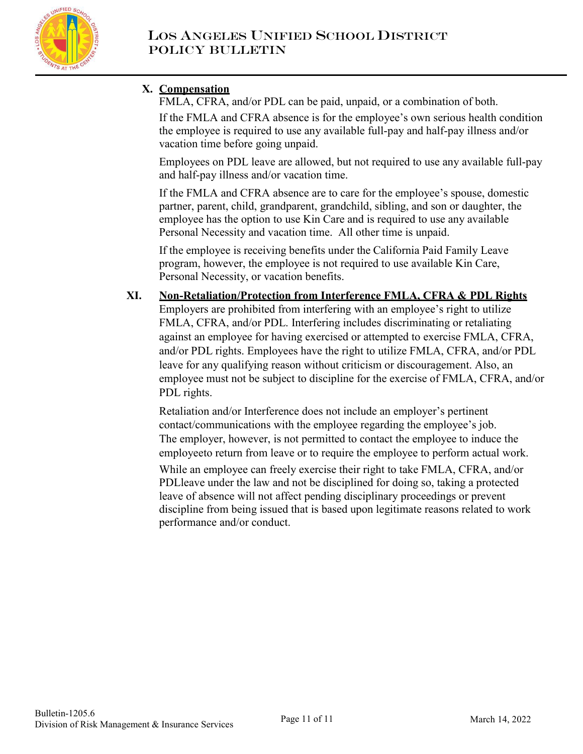

# **X. Compensation**

FMLA, CFRA, and/or PDL can be paid, unpaid, or a combination of both. If the FMLA and CFRA absence is for the employee's own serious health condition the employee is required to use any available full-pay and half-pay illness and/or vacation time before going unpaid.

Employees on PDL leave are allowed, but not required to use any available full-pay and half-pay illness and/or vacation time.

If the FMLA and CFRA absence are to care for the employee's spouse, domestic partner, parent, child, grandparent, grandchild, sibling, and son or daughter, the employee has the option to use Kin Care and is required to use any available Personal Necessity and vacation time. All other time is unpaid.

If the employee is receiving benefits under the California Paid Family Leave program, however, the employee is not required to use available Kin Care, Personal Necessity, or vacation benefits.

### **XI. Non-Retaliation/Protection from Interference FMLA, CFRA & PDL Rights** Employers are prohibited from interfering with an employee's right to utilize FMLA, CFRA, and/or PDL. Interfering includes discriminating or retaliating against an employee for having exercised or attempted to exercise FMLA, CFRA, and/or PDL rights. Employees have the right to utilize FMLA, CFRA, and/or PDL leave for any qualifying reason without criticism or discouragement. Also, an employee must not be subject to discipline for the exercise of FMLA, CFRA, and/or PDL rights.

Retaliation and/or Interference does not include an employer's pertinent contact/communications with the employee regarding the employee's job. The employer, however, is not permitted to contact the employee to induce the employeeto return from leave or to require the employee to perform actual work.

While an employee can freely exercise their right to take FMLA, CFRA, and/or PDL leave under the law and not be disciplined for doing so, taking a protected leave of absence will not affect pending disciplinary proceedings or prevent discipline from being issued that is based upon legitimate reasons related to work performance and/or conduct.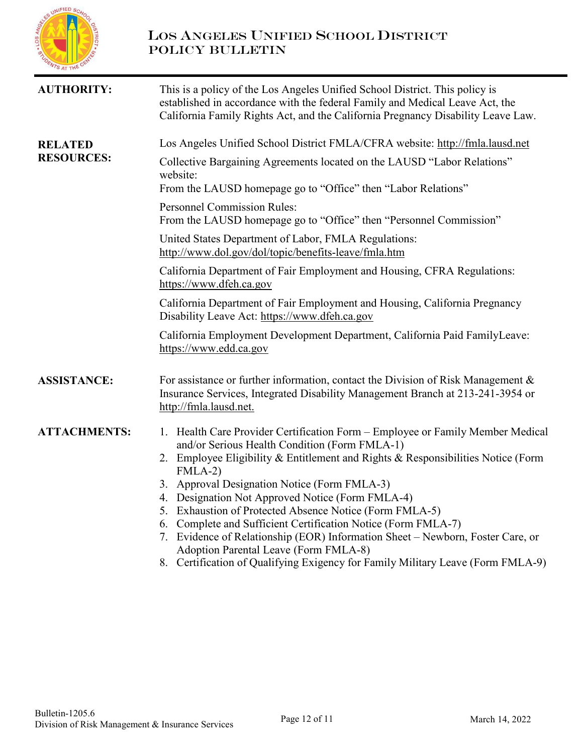

# LOS ANGELES UNIFIED SCHOOL DISTRICT POLICY BULLETIN

| This is a policy of the Los Angeles Unified School District. This policy is<br>established in accordance with the federal Family and Medical Leave Act, the<br>California Family Rights Act, and the California Pregnancy Disability Leave Law.                                                                                                                                                                                                                                                                                                                                                                                                                                                                                                                                                                                                                                                                                                                                    |
|------------------------------------------------------------------------------------------------------------------------------------------------------------------------------------------------------------------------------------------------------------------------------------------------------------------------------------------------------------------------------------------------------------------------------------------------------------------------------------------------------------------------------------------------------------------------------------------------------------------------------------------------------------------------------------------------------------------------------------------------------------------------------------------------------------------------------------------------------------------------------------------------------------------------------------------------------------------------------------|
| Los Angeles Unified School District FMLA/CFRA website: http://fmla.lausd.net                                                                                                                                                                                                                                                                                                                                                                                                                                                                                                                                                                                                                                                                                                                                                                                                                                                                                                       |
| Collective Bargaining Agreements located on the LAUSD "Labor Relations"<br>website:<br>From the LAUSD homepage go to "Office" then "Labor Relations"                                                                                                                                                                                                                                                                                                                                                                                                                                                                                                                                                                                                                                                                                                                                                                                                                               |
| <b>Personnel Commission Rules:</b><br>From the LAUSD homepage go to "Office" then "Personnel Commission"                                                                                                                                                                                                                                                                                                                                                                                                                                                                                                                                                                                                                                                                                                                                                                                                                                                                           |
| United States Department of Labor, FMLA Regulations:<br>http://www.dol.gov/dol/topic/benefits-leave/fmla.htm                                                                                                                                                                                                                                                                                                                                                                                                                                                                                                                                                                                                                                                                                                                                                                                                                                                                       |
| California Department of Fair Employment and Housing, CFRA Regulations:<br>https://www.dfeh.ca.gov                                                                                                                                                                                                                                                                                                                                                                                                                                                                                                                                                                                                                                                                                                                                                                                                                                                                                 |
| California Department of Fair Employment and Housing, California Pregnancy<br>Disability Leave Act: https://www.dfeh.ca.gov                                                                                                                                                                                                                                                                                                                                                                                                                                                                                                                                                                                                                                                                                                                                                                                                                                                        |
| California Employment Development Department, California Paid FamilyLeave:<br>https://www.edd.ca.gov                                                                                                                                                                                                                                                                                                                                                                                                                                                                                                                                                                                                                                                                                                                                                                                                                                                                               |
| For assistance or further information, contact the Division of Risk Management $\&$<br>Insurance Services, Integrated Disability Management Branch at 213-241-3954 or<br>http://fmla.lausd.net.                                                                                                                                                                                                                                                                                                                                                                                                                                                                                                                                                                                                                                                                                                                                                                                    |
| 1. Health Care Provider Certification Form - Employee or Family Member Medical<br>and/or Serious Health Condition (Form FMLA-1)<br>2. Employee Eligibility & Entitlement and Rights & Responsibilities Notice (Form<br>$FMLA-2)$<br>3. Approval Designation Notice (Form FMLA-3)<br>4. Designation Not Approved Notice (Form FMLA-4)<br>5. Exhaustion of Protected Absence Notice (Form FMLA-5)<br>6. Complete and Sufficient Certification Notice (Form FMLA-7)<br>7. Evidence of Relationship (EOR) Information Sheet – Newborn, Foster Care, or<br>Adoption Parental Leave (Form FMLA-8)<br>$C_{\mathcal{A}}$ $C_{\mathcal{A}}$ $C_{\mathcal{A}}$ $C_{\mathcal{A}}$ $C_{\mathcal{A}}$ $C_{\mathcal{A}}$ $C_{\mathcal{A}}$ $C_{\mathcal{A}}$ $C_{\mathcal{A}}$ $C_{\mathcal{A}}$ $C_{\mathcal{A}}$ $C_{\mathcal{A}}$ $C_{\mathcal{A}}$ $C_{\mathcal{A}}$ $C_{\mathcal{A}}$ $C_{\mathcal{A}}$ $C_{\mathcal{A}}$ $C_{\mathcal{A}}$ $C_{\mathcal{A}}$ $C_{\mathcal{A}}$<br>$\Omega$ |
|                                                                                                                                                                                                                                                                                                                                                                                                                                                                                                                                                                                                                                                                                                                                                                                                                                                                                                                                                                                    |

8. Certification of Qualifying Exigency for Family Military Leave (Form FMLA-9)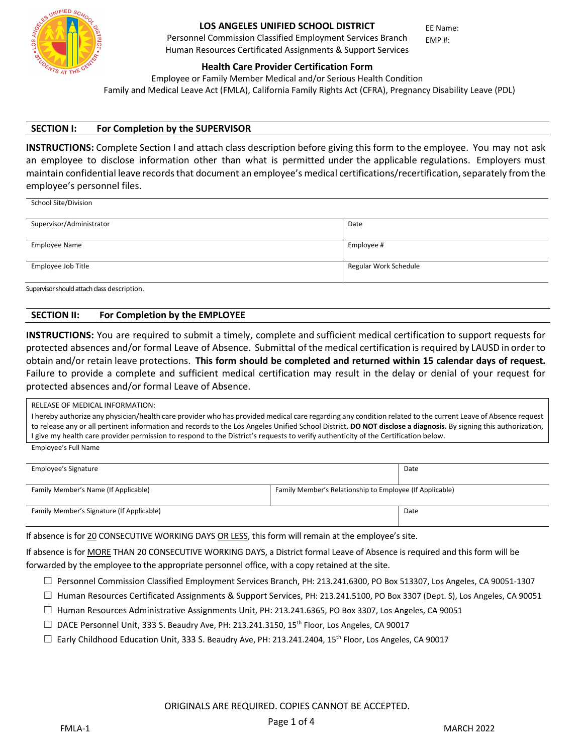

School Site/Division

#### **LOS ANGELES UNIFIED SCHOOL DISTRICT**

Personnel Commission Classified Employment Services Branch Human Resources Certificated Assignments & Support Services

**Health Care Provider Certification Form**

Employee or Family Member Medical and/or Serious Health Condition Family and Medical Leave Act (FMLA), California Family Rights Act (CFRA), Pregnancy Disability Leave (PDL)

EE Name: EMP #:

#### **SECTION I: For Completion by the SUPERVISOR**

**INSTRUCTIONS:** Complete Section I and attach class description before giving this form to the employee. You may not ask an employee to disclose information other than what is permitted under the applicable regulations. Employers must maintain confidential leave records that document an employee's medical certifications/recertification, separately from the employee's personnel files.

| Supervisor/Administrator | Date                  |
|--------------------------|-----------------------|
|                          |                       |
| <b>Employee Name</b>     | Employee #            |
|                          |                       |
| Employee Job Title       | Regular Work Schedule |
|                          |                       |

Supervisor should attach class description.

#### **SECTION II: For Completion by the EMPLOYEE**

**INSTRUCTIONS:** You are required to submit a timely, complete and sufficient medical certification to support requests for protected absences and/or formal Leave of Absence. Submittal of the medical certification is required by LAUSD in order to obtain and/or retain leave protections. **This form should be completed and returned within 15 calendar days of request.**  Failure to provide a complete and sufficient medical certification may result in the delay or denial of your request for protected absences and/or formal Leave of Absence.

| RELEASE OF MEDICAL INFORMATION:                                                                                                                                 |
|-----------------------------------------------------------------------------------------------------------------------------------------------------------------|
| I hereby authorize any physician/health care provider who has provided medical care regarding any condition related to the current Leave of Absence request     |
| to release any or all pertinent information and records to the Los Angeles Unified School District. DO NOT disclose a diagnosis. By signing this authorization, |
| I give my health care provider permission to respond to the District's requests to verify authenticity of the Certification below.                              |
| Employee's Full Name                                                                                                                                            |

| Employee's Signature                      |                                                          | Date |
|-------------------------------------------|----------------------------------------------------------|------|
| Family Member's Name (If Applicable)      | Family Member's Relationship to Employee (If Applicable) |      |
| Family Member's Signature (If Applicable) |                                                          | Date |

If absence is for 20 CONSECUTIVE WORKING DAYS OR LESS, this form will remain at the employee's site.

If absence is for MORE THAN 20 CONSECUTIVE WORKING DAYS, a District formal Leave of Absence is required and this form will be forwarded by the employee to the appropriate personnel office, with a copy retained at the site.

- ☐ Personnel Commission Classified Employment Services Branch, PH: 213.241.6300, PO Box 513307, Los Angeles, CA 90051-1307
- $\Box$  Human Resources Certificated Assignments & Support Services, PH: 213.241.5100, PO Box 3307 (Dept. S), Los Angeles, CA 90051
- ☐ Human Resources Administrative Assignments Unit, PH: 213.241.6365, PO Box 3307, Los Angeles, CA 90051
- $\Box$  DACE Personnel Unit, 333 S. Beaudry Ave, PH: 213.241.3150, 15<sup>th</sup> Floor, Los Angeles, CA 90017
- $\Box$  Early Childhood Education Unit, 333 S. Beaudry Ave, PH: 213.241.2404, 15<sup>th</sup> Floor, Los Angeles, CA 90017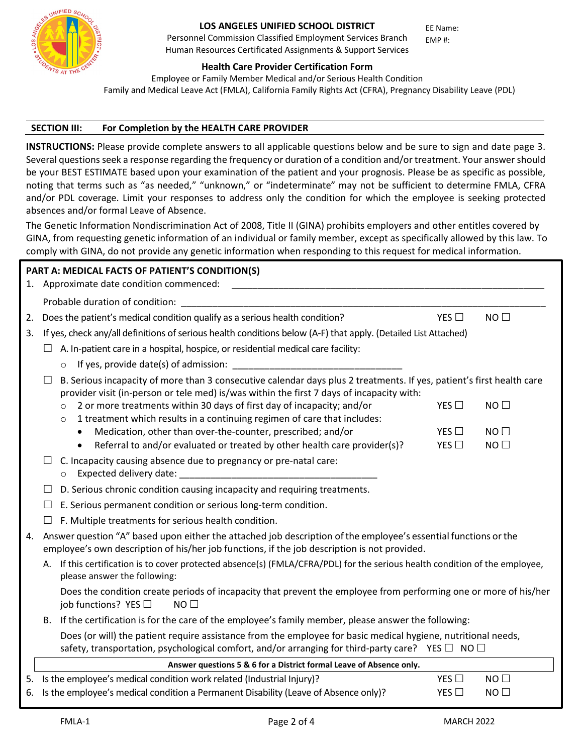

Personnel Commission Classified Employment Services Branch Human Resources Certificated Assignments & Support Services

EE Name: EMP #:

#### **Health Care Provider Certification Form**

Employee or Family Member Medical and/or Serious Health Condition Family and Medical Leave Act (FMLA), California Family Rights Act (CFRA), Pregnancy Disability Leave (PDL)

#### **SECTION III: For Completion by the HEALTH CARE PROVIDER**

**INSTRUCTIONS:** Please provide complete answers to all applicable questions below and be sure to sign and date page 3. Several questions seek a response regarding the frequency or duration of a condition and/or treatment. Your answer should be your BEST ESTIMATE based upon your examination of the patient and your prognosis. Please be as specific as possible, noting that terms such as "as needed," "unknown," or "indeterminate" may not be sufficient to determine FMLA, CFRA and/or PDL coverage. Limit your responses to address only the condition for which the employee is seeking protected absences and/or formal Leave of Absence.

The Genetic Information Nondiscrimination Act of 2008, Title II (GINA) prohibits employers and other entitles covered by GINA, from requesting genetic information of an individual or family member, except as specifically allowed by this law. To comply with GINA, do not provide any genetic information when responding to this request for medical information.

|    | PART A: MEDICAL FACTS OF PATIENT'S CONDITION(S)                                                                                                                                                                             |  |
|----|-----------------------------------------------------------------------------------------------------------------------------------------------------------------------------------------------------------------------------|--|
|    | 1. Approximate date condition commenced:                                                                                                                                                                                    |  |
|    | Probable duration of condition: _                                                                                                                                                                                           |  |
| 2. | Does the patient's medical condition qualify as a serious health condition?<br>NO<br>YES $\Box$                                                                                                                             |  |
| 3. | If yes, check any/all definitions of serious health conditions below (A-F) that apply. (Detailed List Attached)                                                                                                             |  |
|    | A. In-patient care in a hospital, hospice, or residential medical care facility:                                                                                                                                            |  |
|    |                                                                                                                                                                                                                             |  |
|    | B. Serious incapacity of more than 3 consecutive calendar days plus 2 treatments. If yes, patient's first health care<br>provider visit (in-person or tele med) is/was within the first 7 days of incapacity with:          |  |
|    | 2 or more treatments within 30 days of first day of incapacity; and/or<br>YES $\square$<br>NO<br>$\circ$<br>1 treatment which results in a continuing regimen of care that includes:<br>$\circ$                             |  |
|    | Medication, other than over-the-counter, prescribed; and/or<br>YES $\Box$<br>$NO$ $\Box$                                                                                                                                    |  |
|    | Referral to and/or evaluated or treated by other health care provider(s)?<br>YES $\square$<br>NO<br>$\bullet$                                                                                                               |  |
|    | C. Incapacity causing absence due to pregnancy or pre-natal care:<br>Expected delivery date:                                                                                                                                |  |
|    | D. Serious chronic condition causing incapacity and requiring treatments.<br>ப                                                                                                                                              |  |
|    | E. Serious permanent condition or serious long-term condition.                                                                                                                                                              |  |
|    | F. Multiple treatments for serious health condition.                                                                                                                                                                        |  |
| 4. | Answer question "A" based upon either the attached job description of the employee's essential functions or the<br>employee's own description of his/her job functions, if the job description is not provided.             |  |
|    | A. If this certification is to cover protected absence(s) (FMLA/CFRA/PDL) for the serious health condition of the employee,<br>please answer the following:                                                                 |  |
|    | Does the condition create periods of incapacity that prevent the employee from performing one or more of his/her<br>job functions? YES $\Box$<br>NO <sub>1</sub>                                                            |  |
|    | If the certification is for the care of the employee's family member, please answer the following:<br>В.                                                                                                                    |  |
|    | Does (or will) the patient require assistance from the employee for basic medical hygiene, nutritional needs,<br>safety, transportation, psychological comfort, and/or arranging for third-party care? YES $\Box$ NO $\Box$ |  |
|    | Answer questions 5 & 6 for a District formal Leave of Absence only.                                                                                                                                                         |  |
|    | 5. Is the employee's medical condition work related (Industrial Injury)?<br>YES $\square$<br>NO                                                                                                                             |  |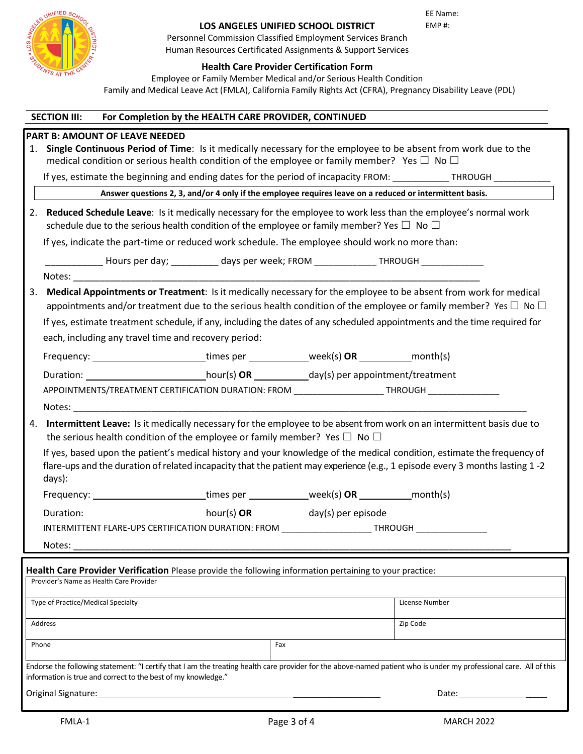| <b>SALE AND READ SCHOOLS BENDER</b><br><b>STORATS AT THE CENTER</b> |  |  |
|---------------------------------------------------------------------|--|--|
|                                                                     |  |  |

EE Name: EMP #:

Personnel Commission Classified Employment Services Branch Human Resources Certificated Assignments & Support Services

### **Health Care Provider Certification Form**

Employee or Family Member Medical and/or Serious Health Condition Family and Medical Leave Act (FMLA), California Family Rights Act (CFRA), Pregnancy Disability Leave (PDL)

|    | <b>SECTION III:</b>                |                                                      | For Completion by the HEALTH CARE PROVIDER, CONTINUED                                                                                                                                                                                                                                                                                                                    |                |  |
|----|------------------------------------|------------------------------------------------------|--------------------------------------------------------------------------------------------------------------------------------------------------------------------------------------------------------------------------------------------------------------------------------------------------------------------------------------------------------------------------|----------------|--|
|    |                                    | <b>PART B: AMOUNT OF LEAVE NEEDED</b>                |                                                                                                                                                                                                                                                                                                                                                                          |                |  |
| 1. |                                    |                                                      | Single Continuous Period of Time: Is it medically necessary for the employee to be absent from work due to the<br>medical condition or serious health condition of the employee or family member? Yes $\square$ No $\square$                                                                                                                                             |                |  |
|    |                                    |                                                      | If yes, estimate the beginning and ending dates for the period of incapacity FROM: ____________THROUGH _______                                                                                                                                                                                                                                                           |                |  |
|    |                                    |                                                      | Answer questions 2, 3, and/or 4 only if the employee requires leave on a reduced or intermittent basis.                                                                                                                                                                                                                                                                  |                |  |
| 2. |                                    |                                                      | Reduced Schedule Leave: Is it medically necessary for the employee to work less than the employee's normal work<br>schedule due to the serious health condition of the employee or family member? Yes $\Box$ No $\Box$                                                                                                                                                   |                |  |
|    |                                    |                                                      | If yes, indicate the part-time or reduced work schedule. The employee should work no more than:                                                                                                                                                                                                                                                                          |                |  |
|    |                                    |                                                      | ______________ Hours per day; ____________ days per week; FROM ________________THROUGH _________________                                                                                                                                                                                                                                                                 |                |  |
|    |                                    |                                                      |                                                                                                                                                                                                                                                                                                                                                                          |                |  |
| 3. |                                    | each, including any travel time and recovery period: | Medical Appointments or Treatment: Is it medically necessary for the employee to be absent from work for medical<br>appointments and/or treatment due to the serious health condition of the employee or family member? Yes $\Box$ No $\Box$<br>If yes, estimate treatment schedule, if any, including the dates of any scheduled appointments and the time required for |                |  |
|    |                                    |                                                      | Frequency: _________________________times per ____________week(s) OR __________month(s)                                                                                                                                                                                                                                                                                  |                |  |
|    |                                    |                                                      | Duration: _______________________________hour(s) OR ____________day(s) per appointment/treatment                                                                                                                                                                                                                                                                         |                |  |
|    |                                    |                                                      | APPOINTMENTS/TREATMENT CERTIFICATION DURATION: FROM ____________________THROUGH ____________________                                                                                                                                                                                                                                                                     |                |  |
|    |                                    |                                                      | Notes: when the contract of the contract of the contract of the contract of the contract of the contract of the contract of the contract of the contract of the contract of the contract of the contract of the contract of th                                                                                                                                           |                |  |
| 4. |                                    |                                                      | Intermittent Leave: Is it medically necessary for the employee to be absent from work on an intermittent basis due to<br>the serious health condition of the employee or family member? Yes $\Box$ No $\Box$                                                                                                                                                             |                |  |
|    | days):                             |                                                      | If yes, based upon the patient's medical history and your knowledge of the medical condition, estimate the frequency of<br>flare-ups and the duration of related incapacity that the patient may experience (e.g., 1 episode every 3 months lasting 1-2                                                                                                                  |                |  |
|    |                                    |                                                      | Frequency: ________________________times per ____________week(s) OR __________month(s)                                                                                                                                                                                                                                                                                   |                |  |
|    |                                    |                                                      |                                                                                                                                                                                                                                                                                                                                                                          |                |  |
|    |                                    |                                                      | INTERMITTENT FLARE-UPS CERTIFICATION DURATION: FROM ______________________THROUGH _________________                                                                                                                                                                                                                                                                      |                |  |
|    | Notes:                             |                                                      |                                                                                                                                                                                                                                                                                                                                                                          |                |  |
|    |                                    |                                                      |                                                                                                                                                                                                                                                                                                                                                                          |                |  |
|    |                                    | Provider's Name as Health Care Provider              | Health Care Provider Verification Please provide the following information pertaining to your practice:                                                                                                                                                                                                                                                                  |                |  |
|    |                                    |                                                      |                                                                                                                                                                                                                                                                                                                                                                          |                |  |
|    | Type of Practice/Medical Specialty |                                                      |                                                                                                                                                                                                                                                                                                                                                                          | License Number |  |
|    | Address                            |                                                      |                                                                                                                                                                                                                                                                                                                                                                          | Zip Code       |  |

Phone **Fax** 

Endorse the following statement: "I certify that I am the treating health care provider for the above-named patient who is under my professional care. All of this information is true and correct to the best of my knowledge."

Original Signature: \_\_\_\_\_\_\_\_\_\_\_\_\_\_\_\_\_\_\_ Date: \_\_\_\_\_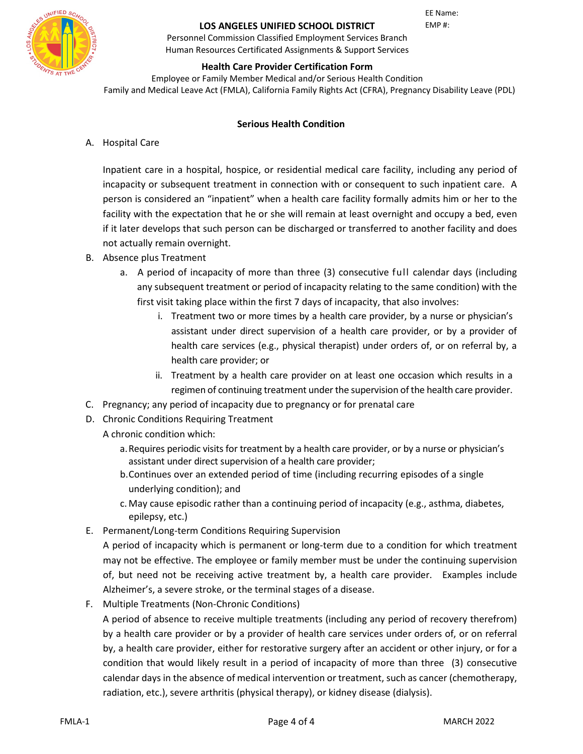

EE Name: EMP #:

Personnel Commission Classified Employment Services Branch Human Resources Certificated Assignments & Support Services

### **Health Care Provider Certification Form**

Employee or Family Member Medical and/or Serious Health Condition Family and Medical Leave Act (FMLA), California Family Rights Act (CFRA), Pregnancy Disability Leave (PDL)

### **Serious Health Condition**

A. Hospital Care

Inpatient care in a hospital, hospice, or residential medical care facility, including any period of incapacity or subsequent treatment in connection with or consequent to such inpatient care. A person is considered an "inpatient" when a health care facility formally admits him or her to the facility with the expectation that he or she will remain at least overnight and occupy a bed, even if it later develops that such person can be discharged or transferred to another facility and does not actually remain overnight.

- B. Absence plus Treatment
	- a. A period of incapacity of more than three (3) consecutive full calendar days (including any subsequent treatment or period of incapacity relating to the same condition) with the first visit taking place within the first 7 days of incapacity, that also involves:
		- i. Treatment two or more times by a health care provider, by a nurse or physician's assistant under direct supervision of a health care provider, or by a provider of health care services (e.g., physical therapist) under orders of, or on referral by, a health care provider; or
		- ii. Treatment by a health care provider on at least one occasion which results in a regimen of continuing treatment under the supervision of the health care provider.
- C. Pregnancy; any period of incapacity due to pregnancy or for prenatal care
- D. Chronic Conditions Requiring Treatment
	- A chronic condition which:
		- a.Requires periodic visits for treatment by a health care provider, or by a nurse or physician's assistant under direct supervision of a health care provider;
		- b.Continues over an extended period of time (including recurring episodes of a single underlying condition); and
		- c. May cause episodic rather than a continuing period of incapacity (e.g., asthma, diabetes, epilepsy, etc.)
- E. Permanent/Long-term Conditions Requiring Supervision

A period of incapacity which is permanent or long-term due to a condition for which treatment may not be effective. The employee or family member must be under the continuing supervision of, but need not be receiving active treatment by, a health care provider. Examples include Alzheimer's, a severe stroke, or the terminal stages of a disease.

F. Multiple Treatments (Non-Chronic Conditions)

A period of absence to receive multiple treatments (including any period of recovery therefrom) by a health care provider or by a provider of health care services under orders of, or on referral by, a health care provider, either for restorative surgery after an accident or other injury, or for a condition that would likely result in a period of incapacity of more than three (3) consecutive calendar days in the absence of medical intervention or treatment, such as cancer (chemotherapy, radiation, etc.), severe arthritis (physical therapy), or kidney disease (dialysis).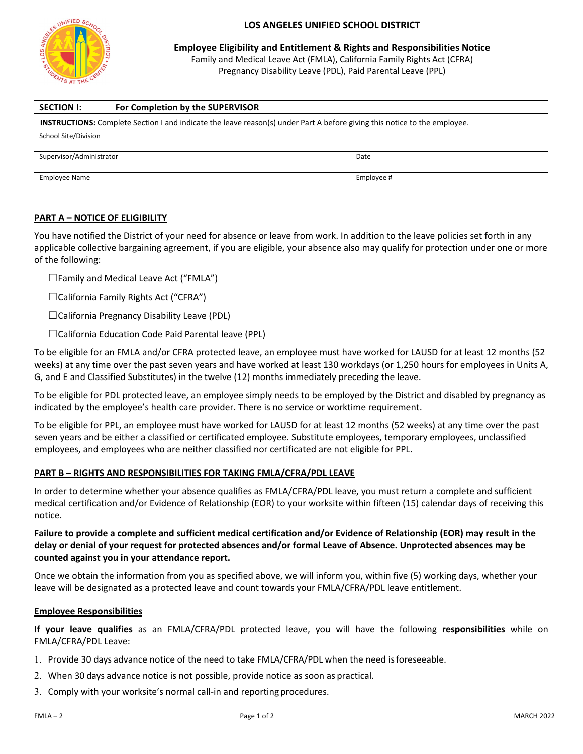

**Employee Eligibility and Entitlement & Rights and Responsibilities Notice**

Family and Medical Leave Act (FMLA), California Family Rights Act (CFRA) Pregnancy Disability Leave (PDL), Paid Parental Leave (PPL)

| <b>SECTION I:</b>        | For Completion by the SUPERVISOR                                                                                                 |            |
|--------------------------|----------------------------------------------------------------------------------------------------------------------------------|------------|
|                          | <b>INSTRUCTIONS:</b> Complete Section I and indicate the leave reason(s) under Part A before giving this notice to the employee. |            |
| School Site/Division     |                                                                                                                                  |            |
| Supervisor/Administrator |                                                                                                                                  | Date       |
|                          |                                                                                                                                  |            |
| Employee Name            |                                                                                                                                  | Employee # |

#### **PART A – NOTICE OF ELIGIBILITY**

You have notified the District of your need for absence or leave from work. In addition to the leave policies set forth in any applicable collective bargaining agreement, if you are eligible, your absence also may qualify for protection under one or more of the following:

 $\square$  Family and Medical Leave Act ("FMLA")

☐California Family Rights Act ("CFRA")

☐California Pregnancy Disability Leave (PDL)

☐California Education Code Paid Parental leave (PPL)

To be eligible for an FMLA and/or CFRA protected leave, an employee must have worked for LAUSD for at least 12 months (52 weeks) at any time over the past seven years and have worked at least 130 workdays (or 1,250 hours for employees in Units A, G, and E and Classified Substitutes) in the twelve (12) months immediately preceding the leave.

To be eligible for PDL protected leave, an employee simply needs to be employed by the District and disabled by pregnancy as indicated by the employee's health care provider. There is no service or worktime requirement.

To be eligible for PPL, an employee must have worked for LAUSD for at least 12 months (52 weeks) at any time over the past seven years and be either a classified or certificated employee. Substitute employees, temporary employees, unclassified employees, and employees who are neither classified nor certificated are not eligible for PPL.

#### **PART B – RIGHTS AND RESPONSIBILITIES FOR TAKING FMLA/CFRA/PDL LEAVE**

In order to determine whether your absence qualifies as FMLA/CFRA/PDL leave, you must return a complete and sufficient medical certification and/or Evidence of Relationship (EOR) to your worksite within fifteen (15) calendar days of receiving this notice.

#### **Failure to provide a complete and sufficient medical certification and/or Evidence of Relationship (EOR) may result in the delay or denial of your request for protected absences and/or formal Leave of Absence. Unprotected absences may be counted against you in your attendance report.**

Once we obtain the information from you as specified above, we will inform you, within five (5) working days, whether your leave will be designated as a protected leave and count towards your FMLA/CFRA/PDL leave entitlement.

#### **Employee Responsibilities**

**If your leave qualifies** as an FMLA/CFRA/PDL protected leave, you will have the following **responsibilities** while on FMLA/CFRA/PDL Leave:

- 1. Provide 30 days advance notice of the need to take FMLA/CFRA/PDL when the need is foreseeable.
- 2. When 30 days advance notice is not possible, provide notice as soon as practical.
- 3. Comply with your worksite's normal call-in and reporting procedures.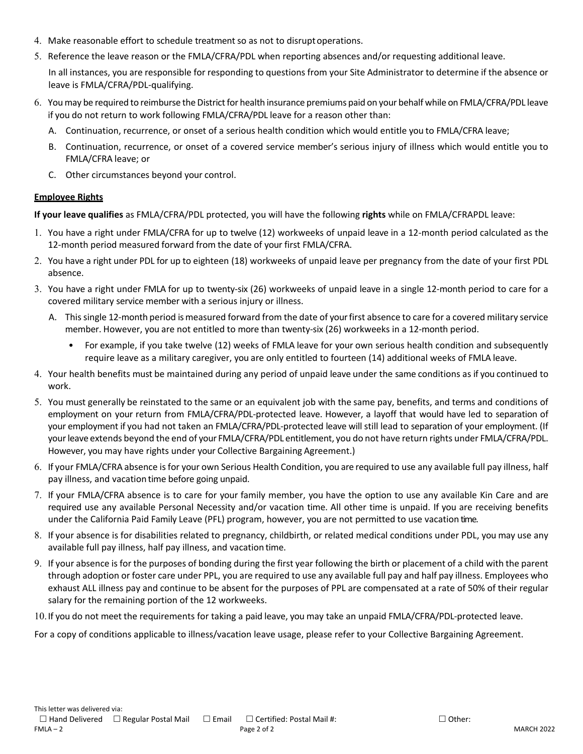- 4. Make reasonable effort to schedule treatment so as not to disruptoperations.
- 5. Reference the leave reason or the FMLA/CFRA/PDL when reporting absences and/or requesting additional leave.

In all instances, you are responsible for responding to questions from your Site Administrator to determine if the absence or leave is FMLA/CFRA/PDL-qualifying.

- 6. You may be required to reimburse the District for health insurance premiums paid on your behalf while on FMLA/CFRA/PDL leave if you do not return to work following FMLA/CFRA/PDL leave for a reason other than:
	- A. Continuation, recurrence, or onset of a serious health condition which would entitle you to FMLA/CFRA leave;
	- B. Continuation, recurrence, or onset of a covered service member's serious injury of illness which would entitle you to FMLA/CFRA leave; or
	- C. Other circumstances beyond your control.

#### **Employee Rights**

**If your leave qualifies** as FMLA/CFRA/PDL protected, you will have the following **rights** while on FMLA/CFRAPDL leave:

- 1. You have a right under FMLA/CFRA for up to twelve (12) workweeks of unpaid leave in a 12-month period calculated as the 12-month period measured forward from the date of your first FMLA/CFRA.
- 2. You have a right under PDL for up to eighteen (18) workweeks of unpaid leave per pregnancy from the date of your first PDL absence.
- 3. You have a right under FMLA for up to twenty-six (26) workweeks of unpaid leave in a single 12-month period to care for a covered military service member with a serious injury or illness.
	- A. This single 12-month period is measured forward from the date of your first absence to care for a covered military service member. However, you are not entitled to more than twenty-six (26) workweeks in a 12-month period.
		- For example, if you take twelve (12) weeks of FMLA leave for your own serious health condition and subsequently require leave as a military caregiver, you are only entitled to fourteen (14) additional weeks of FMLA leave.
- 4. Your health benefits must be maintained during any period of unpaid leave under the same conditions as if you continued to work.
- 5. You must generally be reinstated to the same or an equivalent job with the same pay, benefits, and terms and conditions of employment on your return from FMLA/CFRA/PDL-protected leave. However, a layoff that would have led to separation of your employment if you had not taken an FMLA/CFRA/PDL-protected leave will still lead to separation of your employment. (If your leave extends beyond the end of your FMLA/CFRA/PDL entitlement, you do not have return rights under FMLA/CFRA/PDL. However, you may have rights under your Collective Bargaining Agreement.)
- 6. If your FMLA/CFRA absence is for your own Serious Health Condition, you are required to use any available full pay illness, half pay illness, and vacation time before going unpaid.
- 7. If your FMLA/CFRA absence is to care for your family member, you have the option to use any available Kin Care and are required use any available Personal Necessity and/or vacation time. All other time is unpaid. If you are receiving benefits under the California Paid Family Leave (PFL) program, however, you are not permitted to use vacation time.
- 8. If your absence is for disabilities related to pregnancy, childbirth, or related medical conditions under PDL, you may use any available full pay illness, half pay illness, and vacation time.
- 9. If your absence is for the purposes of bonding during the first year following the birth or placement of a child with the parent through adoption or foster care under PPL, you are required to use any available full pay and half pay illness. Employees who exhaust ALL illness pay and continue to be absent for the purposes of PPL are compensated at a rate of 50% of their regular salary for the remaining portion of the 12 workweeks.

10.If you do not meet the requirements for taking a paid leave, you may take an unpaid FMLA/CFRA/PDL-protected leave.

For a copy of conditions applicable to illness/vacation leave usage, please refer to your Collective Bargaining Agreement.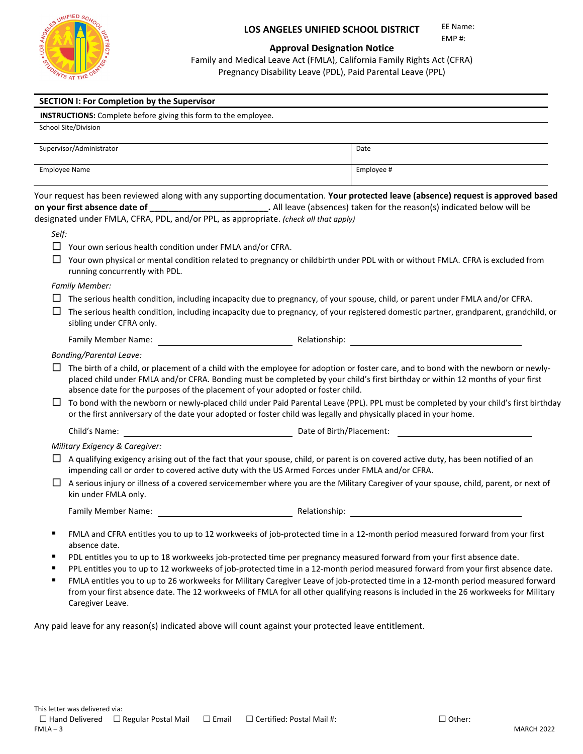

EE Name: EMP #:

#### **Approval Designation Notice**

Family and Medical Leave Act (FMLA), California Family Rights Act (CFRA) Pregnancy Disability Leave (PDL), Paid Parental Leave (PPL)

|       | <b>SECTION I: For Completion by the Supervisor</b>                                                                                                                                                                                                                                                                                                                                             |            |
|-------|------------------------------------------------------------------------------------------------------------------------------------------------------------------------------------------------------------------------------------------------------------------------------------------------------------------------------------------------------------------------------------------------|------------|
|       | <b>INSTRUCTIONS:</b> Complete before giving this form to the employee.                                                                                                                                                                                                                                                                                                                         |            |
|       | School Site/Division                                                                                                                                                                                                                                                                                                                                                                           |            |
|       | Supervisor/Administrator                                                                                                                                                                                                                                                                                                                                                                       | Date       |
|       | <b>Employee Name</b>                                                                                                                                                                                                                                                                                                                                                                           | Employee # |
|       | Your request has been reviewed along with any supporting documentation. Your protected leave (absence) request is approved based<br>on your first absence date of ________________________________. All leave (absences) taken for the reason(s) indicated below will be<br>designated under FMLA, CFRA, PDL, and/or PPL, as appropriate. (check all that apply)                               |            |
| Self: |                                                                                                                                                                                                                                                                                                                                                                                                |            |
|       | $\Box$ Your own serious health condition under FMLA and/or CFRA.                                                                                                                                                                                                                                                                                                                               |            |
| ப     | Your own physical or mental condition related to pregnancy or childbirth under PDL with or without FMLA. CFRA is excluded from<br>running concurrently with PDL.                                                                                                                                                                                                                               |            |
|       | <b>Family Member:</b>                                                                                                                                                                                                                                                                                                                                                                          |            |
| ப     | $\Box$ The serious health condition, including incapacity due to pregnancy, of your spouse, child, or parent under FMLA and/or CFRA.<br>The serious health condition, including incapacity due to pregnancy, of your registered domestic partner, grandparent, grandchild, or<br>sibling under CFRA only.                                                                                      |            |
|       |                                                                                                                                                                                                                                                                                                                                                                                                |            |
|       | <b>Bonding/Parental Leave:</b>                                                                                                                                                                                                                                                                                                                                                                 |            |
|       | The birth of a child, or placement of a child with the employee for adoption or foster care, and to bond with the newborn or newly-<br>placed child under FMLA and/or CFRA. Bonding must be completed by your child's first birthday or within 12 months of your first<br>absence date for the purposes of the placement of your adopted or foster child.                                      |            |
| ⊔     | To bond with the newborn or newly-placed child under Paid Parental Leave (PPL). PPL must be completed by your child's first birthday<br>or the first anniversary of the date your adopted or foster child was legally and physically placed in your home.                                                                                                                                      |            |
|       | <b>Example 2018</b> Date of Birth/Placement:<br>Child's Name:                                                                                                                                                                                                                                                                                                                                  |            |
|       | Military Exigency & Caregiver:                                                                                                                                                                                                                                                                                                                                                                 |            |
|       | A qualifying exigency arising out of the fact that your spouse, child, or parent is on covered active duty, has been notified of an<br>impending call or order to covered active duty with the US Armed Forces under FMLA and/or CFRA.                                                                                                                                                         |            |
| ⊔     | A serious injury or illness of a covered servicemember where you are the Military Caregiver of your spouse, child, parent, or next of<br>kin under FMLA only.                                                                                                                                                                                                                                  |            |
|       |                                                                                                                                                                                                                                                                                                                                                                                                |            |
| п     | FMLA and CFRA entitles you to up to 12 workweeks of job-protected time in a 12-month period measured forward from your first<br>absence date.                                                                                                                                                                                                                                                  |            |
|       | PDL entitles you to up to 18 workweeks job-protected time per pregnancy measured forward from your first absence date.<br>PPL entitles you to up to 12 workweeks of job-protected time in a 12-month period measured forward from your first absence date.<br>EMIA entitles you to up to 26 workweeks for Military Caregiver Leave of inh-protected time in a 12-month period measured forward |            |

 FMLA entitles you to up to 26 workweeks for Military Caregiver Leave of job-protected time in a 12-month period measured forward from your first absence date. The 12 workweeks of FMLA for all other qualifying reasons is included in the 26 workweeks for Military Caregiver Leave.

Any paid leave for any reason(s) indicated above will count against your protected leave entitlement.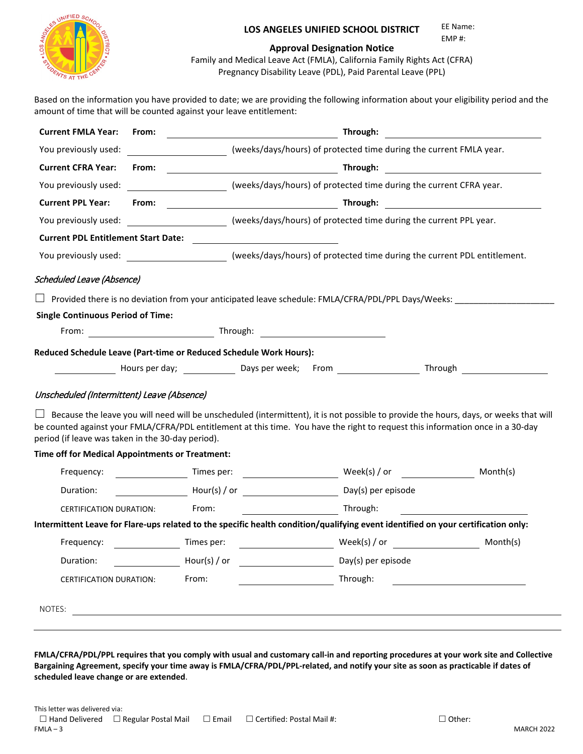

#### **LOS ANGELES UNIFIED SCHOOL DISTRICT**  EE Name:

EMP #:

#### **Approval Designation Notice**

Family and Medical Leave Act (FMLA), California Family Rights Act (CFRA) Pregnancy Disability Leave (PDL), Paid Parental Leave (PPL)

Based on the information you have provided to date; we are providing the following information about your eligibility period and the amount of time that will be counted against your leave entitlement:

| <b>Current FMLA Year:</b>                                                                                                                                                            | From: |                                                         |                                         | Through:                |                                                                                                                                                                                                                                     | <u> 1989 - Johann Stein, fransk politik (</u>                                                                                         |
|--------------------------------------------------------------------------------------------------------------------------------------------------------------------------------------|-------|---------------------------------------------------------|-----------------------------------------|-------------------------|-------------------------------------------------------------------------------------------------------------------------------------------------------------------------------------------------------------------------------------|---------------------------------------------------------------------------------------------------------------------------------------|
| You previously used:                                                                                                                                                                 |       |                                                         |                                         |                         | (weeks/days/hours) of protected time during the current FMLA year.                                                                                                                                                                  |                                                                                                                                       |
| <b>Current CFRA Year:</b>                                                                                                                                                            | From: |                                                         |                                         |                         |                                                                                                                                                                                                                                     |                                                                                                                                       |
| You previously used:                                                                                                                                                                 |       |                                                         |                                         |                         | (weeks/days/hours) of protected time during the current CFRA year.                                                                                                                                                                  |                                                                                                                                       |
| <b>Current PPL Year:</b>                                                                                                                                                             | From: |                                                         |                                         |                         | <b>Example 2018</b> Through: Through: 2018 Through: 2018 Through: 2018 Through: 2018 Through: 2018 Through: 2018 Through: 2018 Through: 2018 Through: 2018 Through: 2018 Through: 2018 Through: 2018 Through: 2018 Through: 2018 Th |                                                                                                                                       |
| You previously used:                                                                                                                                                                 |       |                                                         |                                         |                         | (weeks/days/hours) of protected time during the current PPL year.                                                                                                                                                                   |                                                                                                                                       |
| <b>Current PDL Entitlement Start Date:</b>                                                                                                                                           |       |                                                         |                                         |                         |                                                                                                                                                                                                                                     |                                                                                                                                       |
| You previously used: verther than the comparison of protected time during the current PDL entitlement.                                                                               |       |                                                         |                                         |                         |                                                                                                                                                                                                                                     |                                                                                                                                       |
| <b>Scheduled Leave (Absence)</b>                                                                                                                                                     |       |                                                         |                                         |                         |                                                                                                                                                                                                                                     |                                                                                                                                       |
|                                                                                                                                                                                      |       |                                                         |                                         |                         | Provided there is no deviation from your anticipated leave schedule: FMLA/CFRA/PDL/PPL Days/Weeks:                                                                                                                                  |                                                                                                                                       |
| <b>Single Continuous Period of Time:</b>                                                                                                                                             |       |                                                         |                                         |                         |                                                                                                                                                                                                                                     |                                                                                                                                       |
|                                                                                                                                                                                      |       |                                                         |                                         | From: Through: Through: |                                                                                                                                                                                                                                     |                                                                                                                                       |
| Reduced Schedule Leave (Part-time or Reduced Schedule Work Hours):                                                                                                                   |       |                                                         |                                         |                         |                                                                                                                                                                                                                                     |                                                                                                                                       |
|                                                                                                                                                                                      |       |                                                         |                                         |                         | Hours per day; Notice Laws per week; From North Mours Prough                                                                                                                                                                        |                                                                                                                                       |
|                                                                                                                                                                                      |       |                                                         |                                         |                         |                                                                                                                                                                                                                                     |                                                                                                                                       |
| Unscheduled (Intermittent) Leave (Absence)                                                                                                                                           |       |                                                         |                                         |                         |                                                                                                                                                                                                                                     |                                                                                                                                       |
| be counted against your FMLA/CFRA/PDL entitlement at this time. You have the right to request this information once in a 30-day<br>period (if leave was taken in the 30-day period). |       |                                                         |                                         |                         |                                                                                                                                                                                                                                     | Because the leave you will need will be unscheduled (intermittent), it is not possible to provide the hours, days, or weeks that will |
| Time off for Medical Appointments or Treatment:                                                                                                                                      |       |                                                         |                                         |                         |                                                                                                                                                                                                                                     |                                                                                                                                       |
| Frequency:                                                                                                                                                                           |       |                                                         |                                         |                         |                                                                                                                                                                                                                                     | Month(s)                                                                                                                              |
| Duration:                                                                                                                                                                            |       |                                                         |                                         |                         |                                                                                                                                                                                                                                     |                                                                                                                                       |
| <b>CERTIFICATION DURATION:</b>                                                                                                                                                       |       | From:                                                   |                                         | Through:                |                                                                                                                                                                                                                                     |                                                                                                                                       |
| Intermittent Leave for Flare-ups related to the specific health condition/qualifying event identified on your certification only:                                                    |       |                                                         |                                         |                         |                                                                                                                                                                                                                                     |                                                                                                                                       |
| Frequency:                                                                                                                                                                           |       | Times per:                                              |                                         |                         | $\text{Week}(s)$ / or                                                                                                                                                                                                               | Month(s)                                                                                                                              |
| Duration:                                                                                                                                                                            |       | Hour(s) / or                                            | <u> 1990 - Johann Barbara, martin a</u> | Day(s) per episode      |                                                                                                                                                                                                                                     |                                                                                                                                       |
| CERTIFICATION DURATION:                                                                                                                                                              |       | From:                                                   |                                         | Through:                |                                                                                                                                                                                                                                     |                                                                                                                                       |
|                                                                                                                                                                                      |       |                                                         |                                         |                         |                                                                                                                                                                                                                                     |                                                                                                                                       |
| NOTES:                                                                                                                                                                               |       | <u> 1989 - Johann Stein, fransk politiker (d. 1989)</u> |                                         |                         |                                                                                                                                                                                                                                     |                                                                                                                                       |
|                                                                                                                                                                                      |       |                                                         |                                         |                         |                                                                                                                                                                                                                                     |                                                                                                                                       |

**FMLA/CFRA/PDL/PPL requires that you comply with usual and customary call-in and reporting procedures at your work site and Collective Bargaining Agreement, specify your time away is FMLA/CFRA/PDL/PPL-related, and notify your site as soon as practicable if dates of scheduled leave change or are extended**.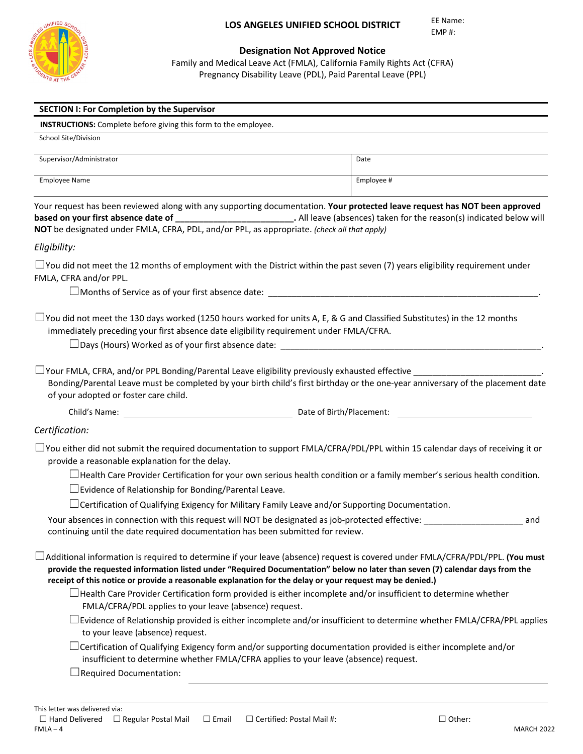

#### **Designation Not Approved Notice**

Family and Medical Leave Act (FMLA), California Family Rights Act (CFRA) Pregnancy Disability Leave (PDL), Paid Parental Leave (PPL)

| <b>INSTRUCTIONS:</b> Complete before giving this form to the employee.                                                                                                                                                                                                                                                                                                           |                                                                                                                                |
|----------------------------------------------------------------------------------------------------------------------------------------------------------------------------------------------------------------------------------------------------------------------------------------------------------------------------------------------------------------------------------|--------------------------------------------------------------------------------------------------------------------------------|
| School Site/Division                                                                                                                                                                                                                                                                                                                                                             |                                                                                                                                |
| Supervisor/Administrator                                                                                                                                                                                                                                                                                                                                                         | Date                                                                                                                           |
| <b>Employee Name</b>                                                                                                                                                                                                                                                                                                                                                             | Employee #                                                                                                                     |
| Your request has been reviewed along with any supporting documentation. Your protected leave request has NOT been approved<br>based on your first absence date of _____________________________. All leave (absences) taken for the reason(s) indicated below will<br>NOT be designated under FMLA, CFRA, PDL, and/or PPL, as appropriate. (check all that apply)                |                                                                                                                                |
| Eligibility:                                                                                                                                                                                                                                                                                                                                                                     |                                                                                                                                |
| $\Box$ You did not meet the 12 months of employment with the District within the past seven (7) years eligibility requirement under<br>FMLA, CFRA and/or PPL.<br>$\Box$ Months of Service as of your first absence date:                                                                                                                                                         |                                                                                                                                |
| $\Box$ You did not meet the 130 days worked (1250 hours worked for units A, E, & G and Classified Substitutes) in the 12 months<br>immediately preceding your first absence date eligibility requirement under FMLA/CFRA.                                                                                                                                                        |                                                                                                                                |
| $\Box$ Your FMLA, CFRA, and/or PPL Bonding/Parental Leave eligibility previously exhausted effective $\Box$<br>Bonding/Parental Leave must be completed by your birth child's first birthday or the one-year anniversary of the placement date                                                                                                                                   |                                                                                                                                |
| of your adopted or foster care child.                                                                                                                                                                                                                                                                                                                                            |                                                                                                                                |
|                                                                                                                                                                                                                                                                                                                                                                                  | Date of Birth/Placement:                                                                                                       |
|                                                                                                                                                                                                                                                                                                                                                                                  |                                                                                                                                |
| $\Box$ You either did not submit the required documentation to support FMLA/CFRA/PDL/PPL within 15 calendar days of receiving it or<br>provide a reasonable explanation for the delay.                                                                                                                                                                                           |                                                                                                                                |
|                                                                                                                                                                                                                                                                                                                                                                                  | $\Box$ Health Care Provider Certification for your own serious health condition or a family member's serious health condition. |
| $\Box$ Evidence of Relationship for Bonding/Parental Leave.                                                                                                                                                                                                                                                                                                                      |                                                                                                                                |
| $\Box$ Certification of Qualifying Exigency for Military Family Leave and/or Supporting Documentation.                                                                                                                                                                                                                                                                           |                                                                                                                                |
| Your absences in connection with this request will NOT be designated as job-protected effective:<br>continuing until the date required documentation has been submitted for review.                                                                                                                                                                                              | and                                                                                                                            |
| $\Box$ Additional information is required to determine if your leave (absence) request is covered under FMLA/CFRA/PDL/PPL. (You must<br>provide the requested information listed under "Required Documentation" below no later than seven (7) calendar days from the<br>receipt of this notice or provide a reasonable explanation for the delay or your request may be denied.) |                                                                                                                                |
| $\Box$ Health Care Provider Certification form provided is either incomplete and/or insufficient to determine whether                                                                                                                                                                                                                                                            |                                                                                                                                |
| FMLA/CFRA/PDL applies to your leave (absence) request.<br>to your leave (absence) request.                                                                                                                                                                                                                                                                                       |                                                                                                                                |
| Certification:<br>$\Box$ Certification of Qualifying Exigency form and/or supporting documentation provided is either incomplete and/or<br>insufficient to determine whether FMLA/CFRA applies to your leave (absence) request.<br>$\Box$ Required Documentation:                                                                                                                | $\Box$ Evidence of Relationship provided is either incomplete and/or insufficient to determine whether FMLA/CFRA/PPL applies   |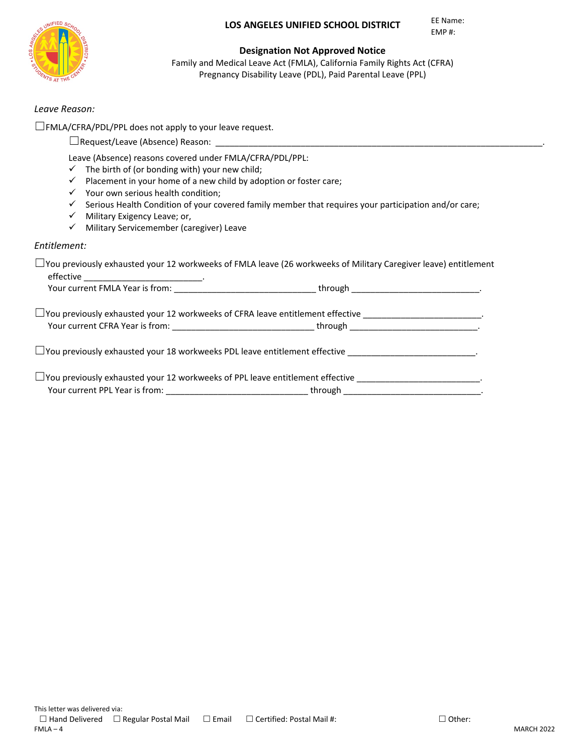EE Name: EMP #:



#### **Designation Not Approved Notice**

Family and Medical Leave Act (FMLA), California Family Rights Act (CFRA) Pregnancy Disability Leave (PDL), Paid Parental Leave (PPL)

#### *Leave Reason:*

☐FMLA/CFRA/PDL/PPL does not apply to your leave request.

|              | Leave (Absence) reasons covered under FMLA/CFRA/PDL/PPL:                                             |
|--------------|------------------------------------------------------------------------------------------------------|
| ✓            | The birth of (or bonding with) your new child;                                                       |
| $\checkmark$ | Placement in your home of a new child by adoption or foster care;                                    |
| ✓            | Your own serious health condition;                                                                   |
| ✓            | Serious Health Condition of your covered family member that requires your participation and/or care; |
| ✓            | Military Exigency Leave; or,                                                                         |
| $\checkmark$ | Military Servicemember (caregiver) Leave                                                             |

| $\Box$ You previously exhausted your 12 workweeks of FMLA leave (26 workweeks of Military Caregiver leave) entitlement |  |
|------------------------------------------------------------------------------------------------------------------------|--|
|                                                                                                                        |  |
| $\Box$ You previously exhausted your 12 workweeks of CFRA leave entitlement effective _____________________________    |  |
|                                                                                                                        |  |
|                                                                                                                        |  |
| $\Box$ You previously exhausted your 12 workweeks of PPL leave entitlement effective _________________________.        |  |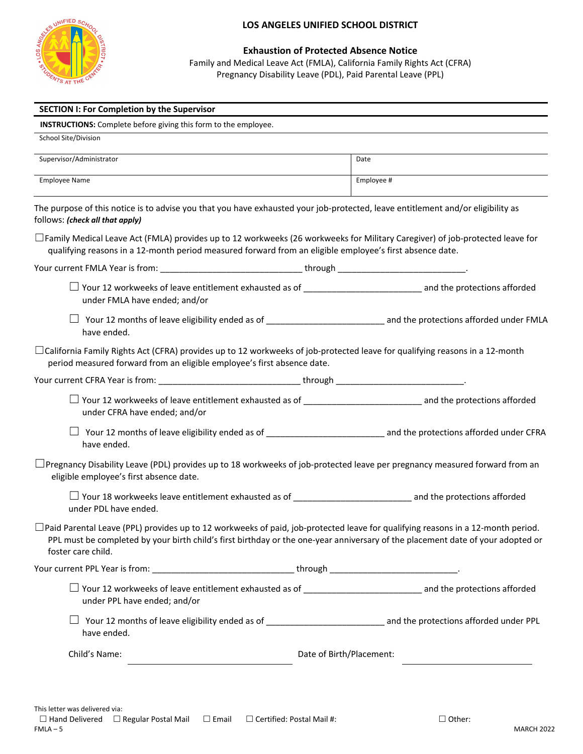

**Exhaustion of Protected Absence Notice** Family and Medical Leave Act (FMLA), California Family Rights Act (CFRA) Pregnancy Disability Leave (PDL), Paid Parental Leave (PPL)

| <b>SECTION I: For Completion by the Supervisor</b>                                                                                                                                                                                                                                              |                                                                                                                             |
|-------------------------------------------------------------------------------------------------------------------------------------------------------------------------------------------------------------------------------------------------------------------------------------------------|-----------------------------------------------------------------------------------------------------------------------------|
| <b>INSTRUCTIONS:</b> Complete before giving this form to the employee.                                                                                                                                                                                                                          |                                                                                                                             |
| School Site/Division                                                                                                                                                                                                                                                                            |                                                                                                                             |
| Supervisor/Administrator                                                                                                                                                                                                                                                                        | Date                                                                                                                        |
| <b>Employee Name</b>                                                                                                                                                                                                                                                                            | Employee #                                                                                                                  |
| The purpose of this notice is to advise you that you have exhausted your job-protected, leave entitlement and/or eligibility as<br>follows: (check all that apply)                                                                                                                              |                                                                                                                             |
| $\Box$ Family Medical Leave Act (FMLA) provides up to 12 workweeks (26 workweeks for Military Caregiver) of job-protected leave for<br>qualifying reasons in a 12-month period measured forward from an eligible employee's first absence date.                                                 |                                                                                                                             |
|                                                                                                                                                                                                                                                                                                 |                                                                                                                             |
| under FMLA have ended; and/or                                                                                                                                                                                                                                                                   | $\Box$ Your 12 workweeks of leave entitlement exhausted as of ________________________________ and the protections afforded |
| have ended.                                                                                                                                                                                                                                                                                     |                                                                                                                             |
| $\Box$ California Family Rights Act (CFRA) provides up to 12 workweeks of job-protected leave for qualifying reasons in a 12-month<br>period measured forward from an eligible employee's first absence date.                                                                                   |                                                                                                                             |
|                                                                                                                                                                                                                                                                                                 |                                                                                                                             |
| under CFRA have ended; and/or                                                                                                                                                                                                                                                                   | □ Your 12 workweeks of leave entitlement exhausted as of _______________________________ and the protections afforded       |
| have ended.                                                                                                                                                                                                                                                                                     | □ Your 12 months of leave eligibility ended as of _______________________________ and the protections afforded under CFRA   |
| $\Box$ Pregnancy Disability Leave (PDL) provides up to 18 workweeks of job-protected leave per pregnancy measured forward from an<br>eligible employee's first absence date.                                                                                                                    |                                                                                                                             |
| under PDL have ended.                                                                                                                                                                                                                                                                           |                                                                                                                             |
| $\Box$ Paid Parental Leave (PPL) provides up to 12 workweeks of paid, job-protected leave for qualifying reasons in a 12-month period.<br>PPL must be completed by your birth child's first birthday or the one-year anniversary of the placement date of your adopted or<br>foster care child. |                                                                                                                             |
|                                                                                                                                                                                                                                                                                                 |                                                                                                                             |
| under PPL have ended; and/or                                                                                                                                                                                                                                                                    | $\Box$ Your 12 workweeks of leave entitlement exhausted as of _______________________________ and the protections afforded  |
| have ended.                                                                                                                                                                                                                                                                                     | □ Your 12 months of leave eligibility ended as of _______________________________ and the protections afforded under PPL    |
| Child's Name:                                                                                                                                                                                                                                                                                   | Date of Birth/Placement:                                                                                                    |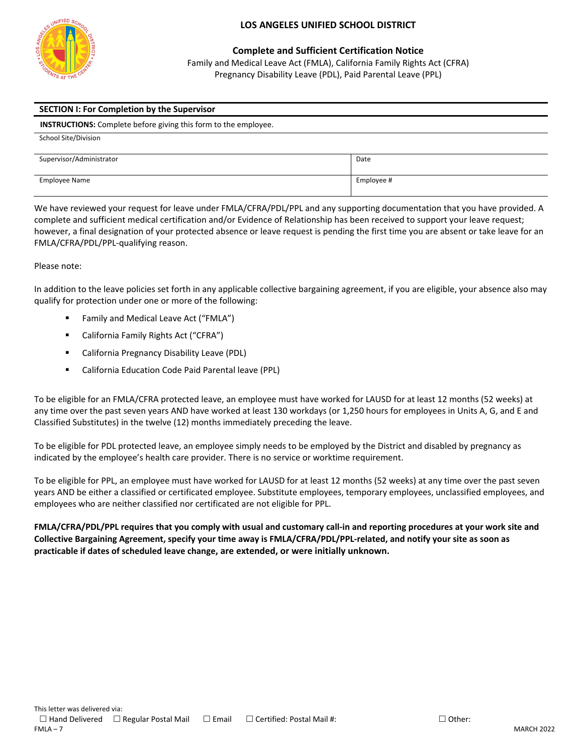

**Complete and Sufficient Certification Notice** Family and Medical Leave Act (FMLA), California Family Rights Act (CFRA) Pregnancy Disability Leave (PDL), Paid Parental Leave (PPL)

#### **SECTION I: For Completion by the Supervisor**

 **INSTRUCTIONS:** Complete before giving this form to the employee.

| School Site/Division     |            |
|--------------------------|------------|
| Supervisor/Administrator | Date       |
| <b>Employee Name</b>     | Employee # |

We have reviewed your request for leave under FMLA/CFRA/PDL/PPL and any supporting documentation that you have provided. A complete and sufficient medical certification and/or Evidence of Relationship has been received to support your leave request; however, a final designation of your protected absence or leave request is pending the first time you are absent or take leave for an FMLA/CFRA/PDL/PPL-qualifying reason.

#### Please note:

In addition to the leave policies set forth in any applicable collective bargaining agreement, if you are eligible, your absence also may qualify for protection under one or more of the following:

- Family and Medical Leave Act ("FMLA")
- California Family Rights Act ("CFRA")
- California Pregnancy Disability Leave (PDL)
- California Education Code Paid Parental leave (PPL)

To be eligible for an FMLA/CFRA protected leave, an employee must have worked for LAUSD for at least 12 months (52 weeks) at any time over the past seven years AND have worked at least 130 workdays (or 1,250 hours for employees in Units A, G, and E and Classified Substitutes) in the twelve (12) months immediately preceding the leave.

To be eligible for PDL protected leave, an employee simply needs to be employed by the District and disabled by pregnancy as indicated by the employee's health care provider. There is no service or worktime requirement.

To be eligible for PPL, an employee must have worked for LAUSD for at least 12 months (52 weeks) at any time over the past seven years AND be either a classified or certificated employee. Substitute employees, temporary employees, unclassified employees, and employees who are neither classified nor certificated are not eligible for PPL.

**FMLA/CFRA/PDL/PPL requires that you comply with usual and customary call-in and reporting procedures at your work site and Collective Bargaining Agreement, specify your time away is FMLA/CFRA/PDL/PPL-related, and notify your site as soon as practicable if dates of scheduled leave change, are extended, or were initially unknown.**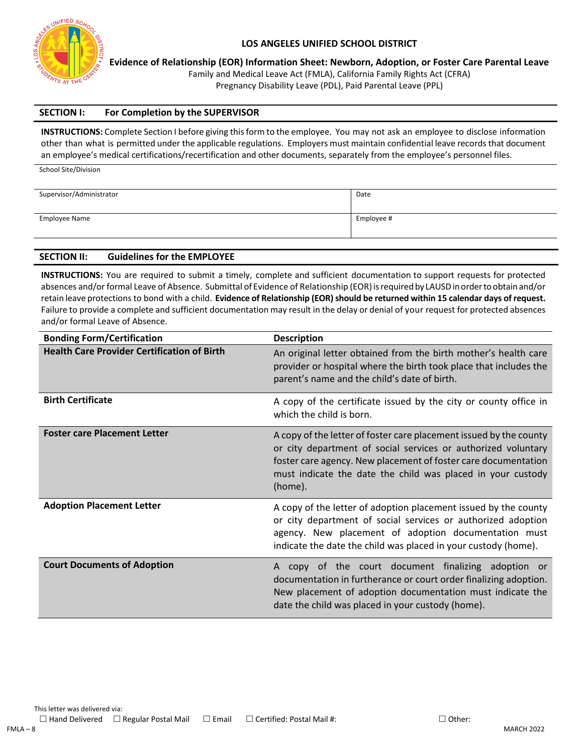

School Site/Division

#### **LOS ANGELES UNIFIED SCHOOL DISTRICT**

**Evidence of Relationship (EOR) Information Sheet: Newborn, Adoption, or Foster Care Parental Leave**

Family and Medical Leave Act (FMLA), California Family Rights Act (CFRA)

Pregnancy Disability Leave (PDL), Paid Parental Leave (PPL)

#### **SECTION I: For Completion by the SUPERVISOR**

**INSTRUCTIONS:** Complete Section I before giving this form to the employee. You may not ask an employee to disclose information other than what is permitted under the applicable regulations. Employers must maintain confidential leave records that document an employee's medical certifications/recertification and other documents, separately from the employee's personnel files.

| Supervisor/Administrator | Date       |
|--------------------------|------------|
|                          |            |
| Employee Name            | Employee # |
|                          |            |

#### **SECTION II: Guidelines for the EMPLOYEE**

**INSTRUCTIONS:** You are required to submit a timely, complete and sufficient documentation to support requests for protected absences and/or formal Leave of Absence. Submittal of Evidence of Relationship (EOR) is required by LAUSD in order to obtain and/or retain leave protections to bond with a child. Evidence of Relationship (EOR) should be returned within 15 calendar days of request. Failure to provide a complete and sufficient documentation may result in the delay or denial of your request for protected absences and/or formal Leave of Absence.

| <b>Bonding Form/Certification</b>                  | <b>Description</b>                                                                                                                                                                                                                                                              |
|----------------------------------------------------|---------------------------------------------------------------------------------------------------------------------------------------------------------------------------------------------------------------------------------------------------------------------------------|
| <b>Health Care Provider Certification of Birth</b> | An original letter obtained from the birth mother's health care<br>provider or hospital where the birth took place that includes the<br>parent's name and the child's date of birth.                                                                                            |
| <b>Birth Certificate</b>                           | A copy of the certificate issued by the city or county office in<br>which the child is born.                                                                                                                                                                                    |
| <b>Foster care Placement Letter</b>                | A copy of the letter of foster care placement issued by the county<br>or city department of social services or authorized voluntary<br>foster care agency. New placement of foster care documentation<br>must indicate the date the child was placed in your custody<br>(home). |
| <b>Adoption Placement Letter</b>                   | A copy of the letter of adoption placement issued by the county<br>or city department of social services or authorized adoption<br>agency. New placement of adoption documentation must<br>indicate the date the child was placed in your custody (home).                       |
| <b>Court Documents of Adoption</b>                 | copy of the court document finalizing adoption or<br>documentation in furtherance or court order finalizing adoption.<br>New placement of adoption documentation must indicate the<br>date the child was placed in your custody (home).                                         |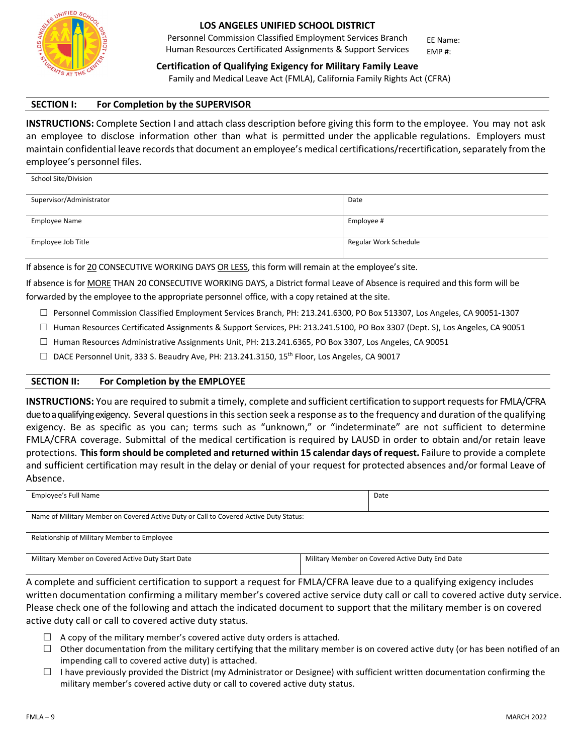

School Site/Division

#### **LOS ANGELES UNIFIED SCHOOL DISTRICT**

Personnel Commission Classified Employment Services Branch Human Resources Certificated Assignments & Support Services EMP #:

EE Name:

**Certification of Qualifying Exigency for Military Family Leave** Family and Medical Leave Act (FMLA), California Family Rights Act (CFRA)

#### **SECTION I: For Completion by the SUPERVISOR**

**INSTRUCTIONS:** Complete Section I and attach class description before giving this form to the employee. You may not ask an employee to disclose information other than what is permitted under the applicable regulations. Employers must maintain confidential leave records that document an employee's medical certifications/recertification, separately from the employee's personnel files.

| Supervisor/Administrator | Date                  |
|--------------------------|-----------------------|
|                          |                       |
| <b>Employee Name</b>     | Employee #            |
|                          |                       |
| Employee Job Title       | Regular Work Schedule |
|                          |                       |

If absence is for 20 CONSECUTIVE WORKING DAYS OR LESS, this form will remain at the employee's site.

If absence is for MORE THAN 20 CONSECUTIVE WORKING DAYS, a District formal Leave of Absence is required and this form will be forwarded by the employee to the appropriate personnel office, with a copy retained at the site.

- $\Box$  Personnel Commission Classified Employment Services Branch, PH: 213.241.6300, PO Box 513307, Los Angeles, CA 90051-1307
- $\Box$  Human Resources Certificated Assignments & Support Services, PH: 213.241.5100, PO Box 3307 (Dept. S), Los Angeles, CA 90051
- $\Box$  Human Resources Administrative Assignments Unit, PH: 213.241.6365, PO Box 3307, Los Angeles, CA 90051
- $\Box$  DACE Personnel Unit, 333 S. Beaudry Ave, PH: 213.241.3150, 15<sup>th</sup> Floor, Los Angeles, CA 90017

#### **SECTION II: For Completion by the EMPLOYEE**

**INSTRUCTIONS:** You are required to submit a timely, complete and sufficient certification to support requests for FMLA/CFRA due to a qualifying exigency. Several questions in this section seek a response as to the frequency and duration of the qualifying exigency. Be as specific as you can; terms such as "unknown," or "indeterminate" are not sufficient to determine FMLA/CFRA coverage. Submittal of the medical certification is required by LAUSD in order to obtain and/or retain leave protections. **This form should be completed and returned within 15 calendar days of request.** Failure to provide a complete and sufficient certification may result in the delay or denial of your request for protected absences and/or formal Leave of Absence.

| Employee's Full Name                                                                  | Date |
|---------------------------------------------------------------------------------------|------|
| Name of Military Member on Covered Active Duty or Call to Covered Active Duty Status: |      |
| Relationship of Military Member to Employee                                           |      |

| Military Member on Covered Active Duty Start Date | Military Member on Covered Active Duty End Date |
|---------------------------------------------------|-------------------------------------------------|
|                                                   |                                                 |

A complete and sufficient certification to support a request for FMLA/CFRA leave due to a qualifying exigency includes written documentation confirming a military member's covered active service duty call or call to covered active duty service. Please check one of the following and attach the indicated document to support that the military member is on covered active duty call or call to covered active duty status.

- $\Box$  A copy of the military member's covered active duty orders is attached.
- $\Box$  Other documentation from the military certifying that the military member is on covered active duty (or has been notified of an impending call to covered active duty) is attached.
- $\Box$  I have previously provided the District (my Administrator or Designee) with sufficient written documentation confirming the military member's covered active duty or call to covered active duty status.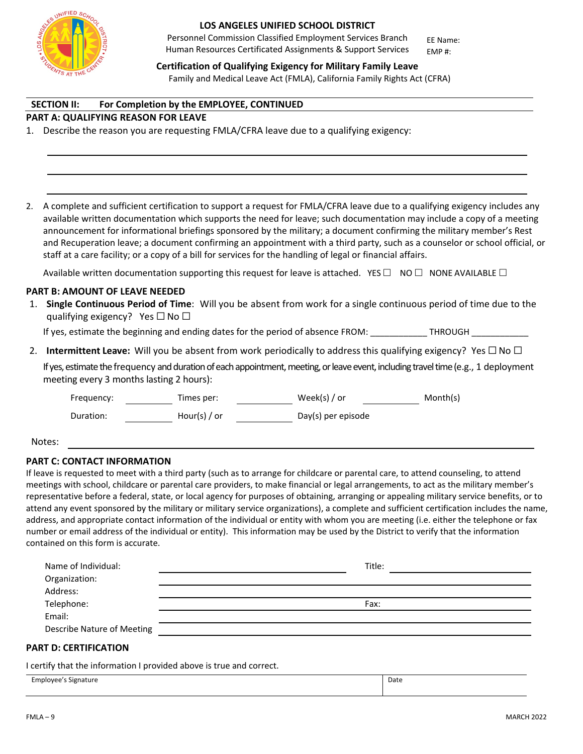

Personnel Commission Classified Employment Services Branch Human Resources Certificated Assignments & Support Services EMP #:

EE Name:

**Certification of Qualifying Exigency for Military Family Leave** Family and Medical Leave Act (FMLA), California Family Rights Act (CFRA)

#### **SECTION II: For Completion by the EMPLOYEE, CONTINUED**

#### **PART A: QUALIFYING REASON FOR LEAVE**

1. Describe the reason you are requesting FMLA/CFRA leave due to a qualifying exigency:

2. A complete and sufficient certification to support a request for FMLA/CFRA leave due to a qualifying exigency includes any available written documentation which supports the need for leave; such documentation may include a copy of a meeting announcement for informational briefings sponsored by the military; a document confirming the military member's Rest and Recuperation leave; a document confirming an appointment with a third party, such as a counselor or school official, or staff at a care facility; or a copy of a bill for services for the handling of legal or financial affairs.

Available written documentation supporting this request for leave is attached. YES  $\Box$  NO  $\Box$  NONE AVAILABLE  $\Box$ 

#### **PART B: AMOUNT OF LEAVE NEEDED**

1. **Single Continuous Period of Time**: Will you be absent from work for a single continuous period of time due to the qualifying exigency? Yes  $\Box$  No  $\Box$ 

If yes, estimate the beginning and ending dates for the period of absence FROM: THROUGH

2. **Intermittent Leave:** Will you be absent from work periodically to address this qualifying exigency? Yes ☐ No ☐ If yes, estimate the frequency and duration of each appointment, meeting, or leave event, including travel time (e.g., 1 deployment meeting every 3 months lasting 2 hours):

Frequency: Times per: Week(s) / or Month(s)

Duration: Hour(s) / or Day(s) per episode

Notes:

#### **PART C: CONTACT INFORMATION**

If leave is requested to meet with a third party (such as to arrange for childcare or parental care, to attend counseling, to attend meetings with school, childcare or parental care providers, to make financial or legal arrangements, to act as the military member's representative before a federal, state, or local agency for purposes of obtaining, arranging or appealing military service benefits, or to attend any event sponsored by the military or military service organizations), a complete and sufficient certification includes the name, address, and appropriate contact information of the individual or entity with whom you are meeting (i.e. either the telephone or fax number or email address of the individual or entity). This information may be used by the District to verify that the information contained on this form is accurate.

| Name of Individual:               | Title: |
|-----------------------------------|--------|
| Organization:                     |        |
| Address:                          |        |
| Telephone:                        | Fax:   |
| Email:                            |        |
| <b>Describe Nature of Meeting</b> |        |
|                                   |        |

#### **PART D: CERTIFICATION**

I certify that the information I provided above is true and correct.

Employee's Signature Date Date of the Date of the Date of the Date of the Date of the Date of the Date of the Date of the Date of the Date of the Date of the Date of the Date of the Date of the Date of the Date of the Date